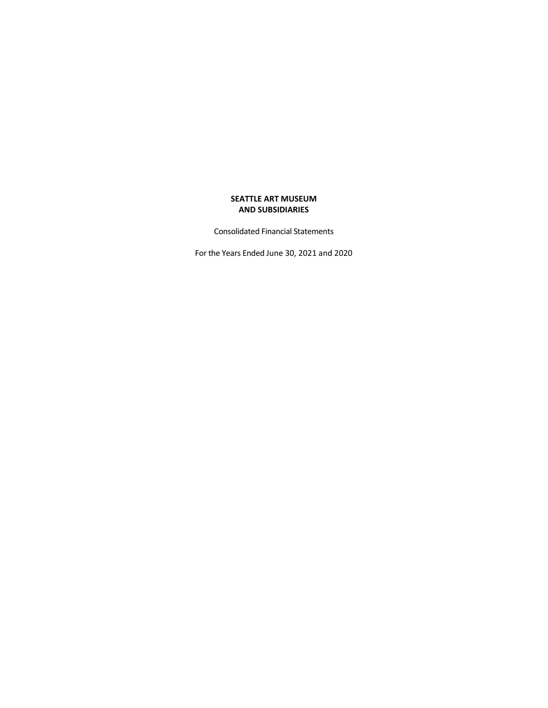Consolidated Financial Statements

For the Years Ended June 30, 2021 and 2020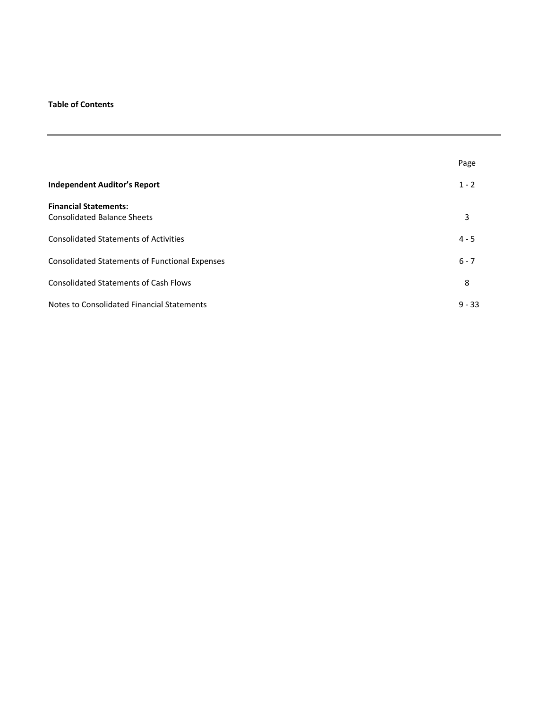# **Table of Contents**

|                                                       | Page     |
|-------------------------------------------------------|----------|
| <b>Independent Auditor's Report</b>                   | $1 - 2$  |
| <b>Financial Statements:</b>                          |          |
| <b>Consolidated Balance Sheets</b>                    | 3        |
| <b>Consolidated Statements of Activities</b>          | $4 - 5$  |
| <b>Consolidated Statements of Functional Expenses</b> | $6 - 7$  |
| <b>Consolidated Statements of Cash Flows</b>          | 8        |
| Notes to Consolidated Financial Statements            | $9 - 33$ |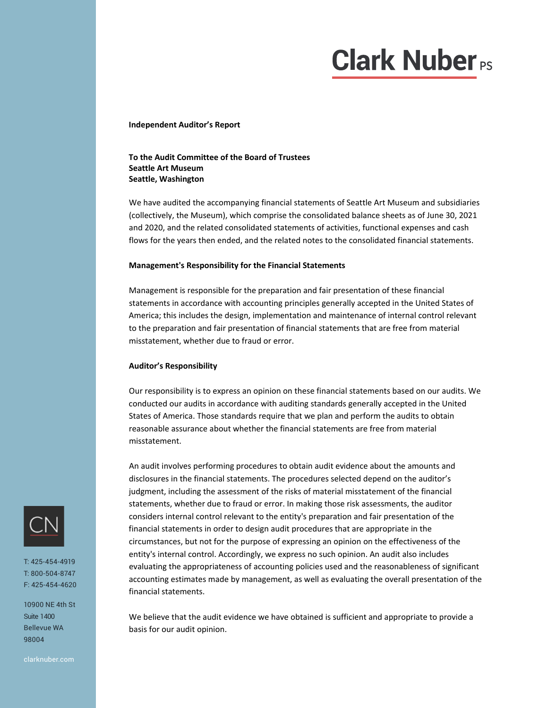# **Clark Nuber**<sub>PS</sub>

#### **Independent Auditor's Report**

## **To the Audit Committee of the Board of Trustees Seattle Art Museum Seattle, Washington**

We have audited the accompanying financial statements of Seattle Art Museum and subsidiaries (collectively, the Museum), which comprise the consolidated balance sheets as of June 30, 2021 and 2020, and the related consolidated statements of activities, functional expenses and cash flows for the years then ended, and the related notes to the consolidated financial statements.

#### **Management's Responsibility for the Financial Statements**

Management is responsible for the preparation and fair presentation of these financial statements in accordance with accounting principles generally accepted in the United States of America; this includes the design, implementation and maintenance of internal control relevant to the preparation and fair presentation of financial statements that are free from material misstatement, whether due to fraud or error.

#### **Auditor's Responsibility**

Our responsibility is to express an opinion on these financial statements based on our audits. We conducted our audits in accordance with auditing standards generally accepted in the United States of America. Those standards require that we plan and perform the audits to obtain reasonable assurance about whether the financial statements are free from material misstatement.

An audit involves performing procedures to obtain audit evidence about the amounts and disclosures in the financial statements. The procedures selected depend on the auditor's judgment, including the assessment of the risks of material misstatement of the financial statements, whether due to fraud or error. In making those risk assessments, the auditor considers internal control relevant to the entity's preparation and fair presentation of the financial statements in order to design audit procedures that are appropriate in the circumstances, but not for the purpose of expressing an opinion on the effectiveness of the entity's internal control. Accordingly, we express no such opinion. An audit also includes evaluating the appropriateness of accounting policies used and the reasonableness of significant accounting estimates made by management, as well as evaluating the overall presentation of the financial statements.

We believe that the audit evidence we have obtained is sufficient and appropriate to provide a basis for our audit opinion.



T: 425-454-4919 T: 800-504-8747 F: 425-454-4620

10900 NE 4th St Suite 1400 Bellevue WA 98004

clarknuber.com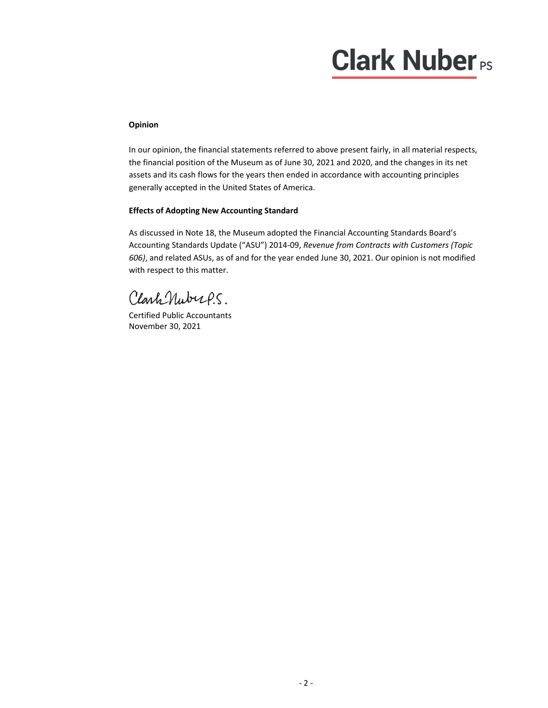# **Clark Nuber**<sub>PS</sub>

# **Opinion**

In our opinion, the financial statements referred to above present fairly, in all material respects, the financial position of the Museum as of June 30, 2021 and 2020, and the changes in its net assets and its cash flows for the years then ended in accordance with accounting principles generally accepted in the United States of America.

## **Effects of Adopting New Accounting Standard**

As discussed in Note 18, the Museum adopted the Financial Accounting Standards Board's Accounting Standards Update ("ASU") 2014‐09, *Revenue from Contracts with Customers (Topic 606)*, and related ASUs, as of and for the year ended June 30, 2021. Our opinion is not modified with respect to this matter.

ClarkNubups.

Certified Public Accountants November 30, 2021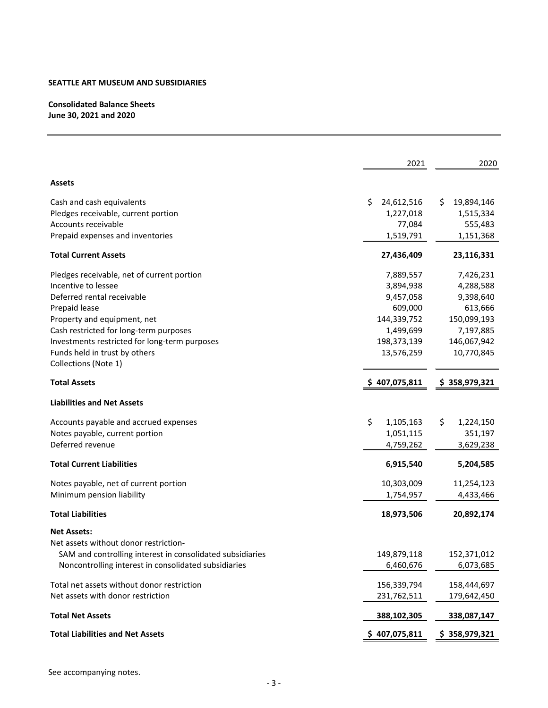# **Consolidated Balance Sheets June 30, 2021 and 2020**

|                                                           | 2021            | 2020             |
|-----------------------------------------------------------|-----------------|------------------|
| Assets                                                    |                 |                  |
| Cash and cash equivalents                                 | S<br>24,612,516 | 19,894,146<br>S. |
| Pledges receivable, current portion                       | 1,227,018       | 1,515,334        |
| Accounts receivable                                       | 77,084          | 555,483          |
| Prepaid expenses and inventories                          | 1,519,791       | 1,151,368        |
| <b>Total Current Assets</b>                               | 27,436,409      | 23,116,331       |
| Pledges receivable, net of current portion                | 7,889,557       | 7,426,231        |
| Incentive to lessee                                       | 3,894,938       | 4,288,588        |
| Deferred rental receivable                                | 9,457,058       | 9,398,640        |
| Prepaid lease                                             | 609,000         | 613,666          |
| Property and equipment, net                               | 144,339,752     | 150,099,193      |
| Cash restricted for long-term purposes                    | 1,499,699       | 7,197,885        |
| Investments restricted for long-term purposes             | 198,373,139     | 146,067,942      |
| Funds held in trust by others                             | 13,576,259      | 10,770,845       |
| Collections (Note 1)                                      |                 |                  |
| <b>Total Assets</b>                                       | \$407,075,811   | \$358,979,321    |
| <b>Liabilities and Net Assets</b>                         |                 |                  |
| Accounts payable and accrued expenses                     | \$<br>1,105,163 | \$<br>1,224,150  |
| Notes payable, current portion                            | 1,051,115       | 351,197          |
| Deferred revenue                                          | 4,759,262       | 3,629,238        |
| <b>Total Current Liabilities</b>                          | 6,915,540       | 5,204,585        |
| Notes payable, net of current portion                     | 10,303,009      | 11,254,123       |
| Minimum pension liability                                 | 1,754,957       | 4,433,466        |
| <b>Total Liabilities</b>                                  | 18,973,506      | 20,892,174       |
| <b>Net Assets:</b>                                        |                 |                  |
| Net assets without donor restriction-                     |                 |                  |
| SAM and controlling interest in consolidated subsidiaries | 149,879,118     | 152,371,012      |
| Noncontrolling interest in consolidated subsidiaries      | 6,460,676       | 6,073,685        |
| Total net assets without donor restriction                | 156,339,794     | 158,444,697      |
| Net assets with donor restriction                         | 231,762,511     | 179,642,450      |
| <b>Total Net Assets</b>                                   | 388,102,305     | 338,087,147      |
| <b>Total Liabilities and Net Assets</b>                   | \$407,075,811   | \$358,979,321    |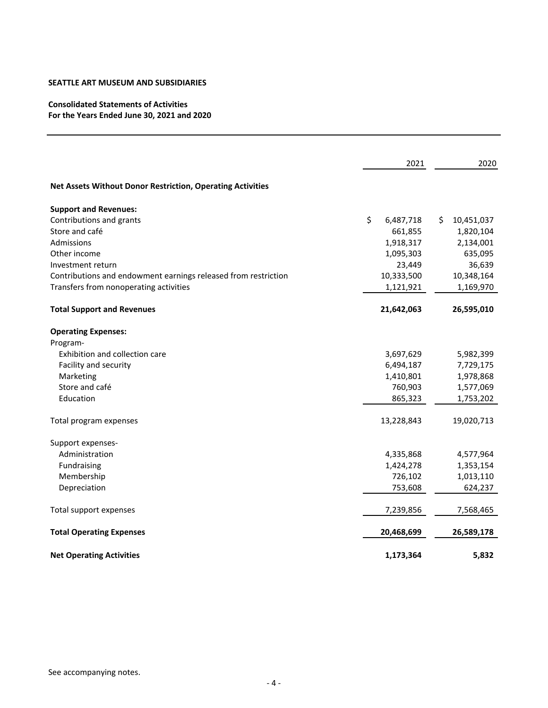# **Consolidated Statements of Activities For the Years Ended June 30, 2021 and 2020**

|                                                                | 2021            | 2020             |
|----------------------------------------------------------------|-----------------|------------------|
| Net Assets Without Donor Restriction, Operating Activities     |                 |                  |
| <b>Support and Revenues:</b>                                   |                 |                  |
| Contributions and grants                                       | \$<br>6,487,718 | 10,451,037<br>S. |
| Store and café                                                 | 661,855         | 1,820,104        |
| Admissions                                                     | 1,918,317       | 2,134,001        |
| Other income                                                   | 1,095,303       | 635,095          |
| Investment return                                              | 23,449          | 36,639           |
| Contributions and endowment earnings released from restriction | 10,333,500      | 10,348,164       |
| Transfers from nonoperating activities                         | 1,121,921       | 1,169,970        |
| <b>Total Support and Revenues</b>                              | 21,642,063      | 26,595,010       |
| <b>Operating Expenses:</b>                                     |                 |                  |
| Program-                                                       |                 |                  |
| Exhibition and collection care                                 | 3,697,629       | 5,982,399        |
| Facility and security                                          | 6,494,187       | 7,729,175        |
| Marketing                                                      | 1,410,801       | 1,978,868        |
| Store and café                                                 | 760,903         | 1,577,069        |
| Education                                                      | 865,323         | 1,753,202        |
| Total program expenses                                         | 13,228,843      | 19,020,713       |
| Support expenses-                                              |                 |                  |
| Administration                                                 | 4,335,868       | 4,577,964        |
| Fundraising                                                    | 1,424,278       | 1,353,154        |
| Membership                                                     | 726,102         | 1,013,110        |
| Depreciation                                                   | 753,608         | 624,237          |
| Total support expenses                                         | 7,239,856       | 7,568,465        |
| <b>Total Operating Expenses</b>                                | 20,468,699      | 26,589,178       |
| <b>Net Operating Activities</b>                                | 1,173,364       | 5,832            |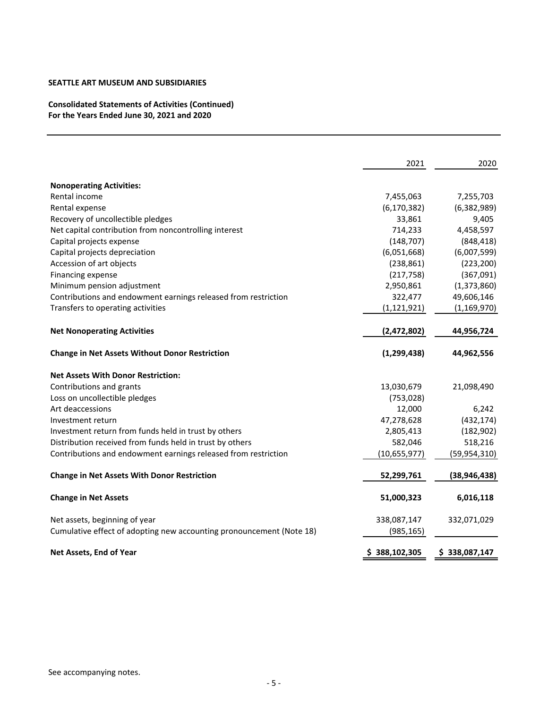**Consolidated Statements of Activities (Continued) For the Years Ended June 30, 2021 and 2020**

|                                                                      | 2021           | 2020           |
|----------------------------------------------------------------------|----------------|----------------|
| <b>Nonoperating Activities:</b>                                      |                |                |
| Rental income                                                        | 7,455,063      | 7,255,703      |
| Rental expense                                                       | (6, 170, 382)  | (6, 382, 989)  |
| Recovery of uncollectible pledges                                    | 33,861         | 9,405          |
| Net capital contribution from noncontrolling interest                | 714,233        | 4,458,597      |
| Capital projects expense                                             | (148, 707)     | (848, 418)     |
| Capital projects depreciation                                        | (6,051,668)    | (6,007,599)    |
| Accession of art objects                                             | (238, 861)     | (223, 200)     |
| Financing expense                                                    | (217, 758)     | (367,091)      |
| Minimum pension adjustment                                           | 2,950,861      | (1,373,860)    |
| Contributions and endowment earnings released from restriction       | 322,477        | 49,606,146     |
| Transfers to operating activities                                    | (1, 121, 921)  | (1, 169, 970)  |
| <b>Net Nonoperating Activities</b>                                   | (2,472,802)    | 44,956,724     |
| <b>Change in Net Assets Without Donor Restriction</b>                | (1, 299, 438)  | 44,962,556     |
| <b>Net Assets With Donor Restriction:</b>                            |                |                |
| Contributions and grants                                             | 13,030,679     | 21,098,490     |
| Loss on uncollectible pledges                                        | (753, 028)     |                |
| Art deaccessions                                                     | 12,000         | 6,242          |
| Investment return                                                    | 47,278,628     | (432, 174)     |
| Investment return from funds held in trust by others                 | 2,805,413      | (182, 902)     |
| Distribution received from funds held in trust by others             | 582,046        | 518,216        |
| Contributions and endowment earnings released from restriction       | (10, 655, 977) | (59, 954, 310) |
| <b>Change in Net Assets With Donor Restriction</b>                   | 52,299,761     | (38, 946, 438) |
| <b>Change in Net Assets</b>                                          | 51,000,323     | 6,016,118      |
| Net assets, beginning of year                                        | 338,087,147    | 332,071,029    |
| Cumulative effect of adopting new accounting pronouncement (Note 18) | (985, 165)     |                |
| Net Assets, End of Year                                              | \$388,102,305  | \$338,087,147  |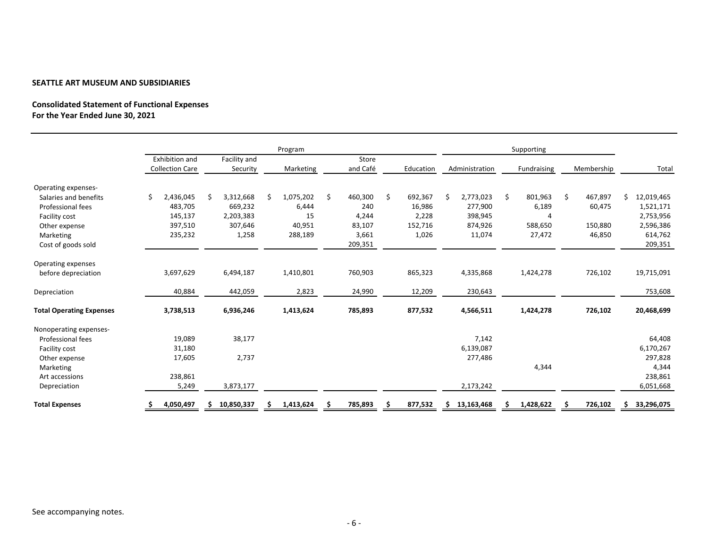## **Consolidated Statement of Functional Expenses For the Year Ended June 30, 2021**

|                                 | Program                |    |              |     |           |    |          |    |           |     |                |               |               |    |            |
|---------------------------------|------------------------|----|--------------|-----|-----------|----|----------|----|-----------|-----|----------------|---------------|---------------|----|------------|
|                                 | Exhibition and         |    | Facility and |     |           |    | Store    |    |           |     |                | Supporting    |               |    |            |
|                                 | <b>Collection Care</b> |    | Security     |     | Marketing |    | and Café |    | Education |     | Administration | Fundraising   | Membership    |    | Total      |
| Operating expenses-             |                        |    |              |     |           |    |          |    |           |     |                |               |               |    |            |
| Salaries and benefits           | \$<br>2,436,045        | .S | 3,312,668    | .\$ | 1,075,202 | Ś. | 460,300  | \$ | 692,367   | Ś   | 2,773,023      | \$<br>801,963 | \$<br>467,897 | Ś. | 12,019,465 |
| <b>Professional fees</b>        | 483,705                |    | 669,232      |     | 6,444     |    | 240      |    | 16,986    |     | 277,900        | 6,189         | 60,475        |    | 1,521,171  |
| Facility cost                   | 145,137                |    | 2,203,383    |     | 15        |    | 4,244    |    | 2,228     |     | 398,945        | Δ             |               |    | 2,753,956  |
| Other expense                   | 397,510                |    | 307,646      |     | 40,951    |    | 83,107   |    | 152,716   |     | 874,926        | 588,650       | 150,880       |    | 2,596,386  |
| Marketing                       | 235,232                |    | 1,258        |     | 288,189   |    | 3,661    |    | 1,026     |     | 11,074         | 27,472        | 46,850        |    | 614,762    |
| Cost of goods sold              |                        |    |              |     |           |    | 209,351  |    |           |     |                |               |               |    | 209,351    |
| Operating expenses              |                        |    |              |     |           |    |          |    |           |     |                |               |               |    |            |
| before depreciation             | 3,697,629              |    | 6,494,187    |     | 1,410,801 |    | 760,903  |    | 865,323   |     | 4,335,868      | 1,424,278     | 726,102       |    | 19,715,091 |
| Depreciation                    | 40,884                 |    | 442,059      |     | 2,823     |    | 24,990   |    | 12,209    |     | 230,643        |               |               |    | 753,608    |
| <b>Total Operating Expenses</b> | 3,738,513              |    | 6,936,246    |     | 1,413,624 |    | 785,893  |    | 877,532   |     | 4,566,511      | 1,424,278     | 726,102       |    | 20,468,699 |
| Nonoperating expenses-          |                        |    |              |     |           |    |          |    |           |     |                |               |               |    |            |
| Professional fees               | 19,089                 |    | 38,177       |     |           |    |          |    |           |     | 7,142          |               |               |    | 64,408     |
| Facility cost                   | 31,180                 |    |              |     |           |    |          |    |           |     | 6,139,087      |               |               |    | 6,170,267  |
| Other expense                   | 17,605                 |    | 2,737        |     |           |    |          |    |           |     | 277,486        |               |               |    | 297,828    |
| Marketing                       |                        |    |              |     |           |    |          |    |           |     |                | 4,344         |               |    | 4,344      |
| Art accessions                  | 238,861                |    |              |     |           |    |          |    |           |     |                |               |               |    | 238,861    |
| Depreciation                    | 5,249                  |    | 3,873,177    |     |           |    |          |    |           |     | 2,173,242      |               |               |    | 6,051,668  |
| <b>Total Expenses</b>           | 4,050,497              |    | 10,850,337   |     | 1,413,624 |    | 785,893  |    | 877,532   | \$. | 13,163,468     | 1,428,622     | 726,102       | \$ | 33,296,075 |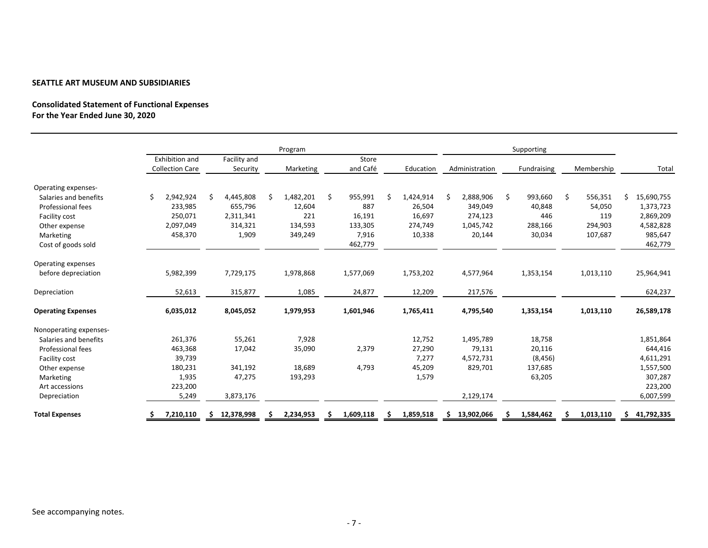## **Consolidated Statement of Functional Expenses For the Year Ended June 30, 2020**

|                           |   | Program                |  |              |  |           |    |           |   |           |    | Supporting     |    |             |    |            |    |            |
|---------------------------|---|------------------------|--|--------------|--|-----------|----|-----------|---|-----------|----|----------------|----|-------------|----|------------|----|------------|
|                           |   | Exhibition and         |  | Facility and |  |           |    | Store     |   |           |    |                |    |             |    |            |    |            |
|                           |   | <b>Collection Care</b> |  | Security     |  | Marketing |    | and Café  |   | Education |    | Administration |    | Fundraising |    | Membership |    | Total      |
| Operating expenses-       |   |                        |  |              |  |           |    |           |   |           |    |                |    |             |    |            |    |            |
| Salaries and benefits     | Ś | 2,942,924              |  | 4,445,808    |  | 1,482,201 | Ŝ. | 955,991   | Ś | 1,424,914 | Ś. | 2,888,906      | \$ | 993,660     | \$ | 556,351    | Ś. | 15,690,755 |
| Professional fees         |   | 233,985                |  | 655,796      |  | 12,604    |    | 887       |   | 26,504    |    | 349,049        |    | 40,848      |    | 54,050     |    | 1,373,723  |
| Facility cost             |   | 250,071                |  | 2,311,341    |  | 221       |    | 16,191    |   | 16,697    |    | 274,123        |    | 446         |    | 119        |    | 2,869,209  |
| Other expense             |   | 2,097,049              |  | 314,321      |  | 134,593   |    | 133,305   |   | 274,749   |    | 1,045,742      |    | 288,166     |    | 294,903    |    | 4,582,828  |
| Marketing                 |   | 458,370                |  | 1,909        |  | 349,249   |    | 7,916     |   | 10,338    |    | 20,144         |    | 30,034      |    | 107,687    |    | 985,647    |
| Cost of goods sold        |   |                        |  |              |  |           |    | 462,779   |   |           |    |                |    |             |    |            |    | 462,779    |
| Operating expenses        |   |                        |  |              |  |           |    |           |   |           |    |                |    |             |    |            |    |            |
| before depreciation       |   | 5,982,399              |  | 7,729,175    |  | 1,978,868 |    | 1,577,069 |   | 1,753,202 |    | 4,577,964      |    | 1,353,154   |    | 1,013,110  |    | 25,964,941 |
| Depreciation              |   | 52,613                 |  | 315,877      |  | 1,085     |    | 24,877    |   | 12,209    |    | 217,576        |    |             |    |            |    | 624,237    |
| <b>Operating Expenses</b> |   | 6,035,012              |  | 8,045,052    |  | 1,979,953 |    | 1,601,946 |   | 1,765,411 |    | 4,795,540      |    | 1,353,154   |    | 1,013,110  |    | 26,589,178 |
| Nonoperating expenses-    |   |                        |  |              |  |           |    |           |   |           |    |                |    |             |    |            |    |            |
| Salaries and benefits     |   | 261,376                |  | 55,261       |  | 7,928     |    |           |   | 12,752    |    | 1,495,789      |    | 18,758      |    |            |    | 1,851,864  |
| Professional fees         |   | 463,368                |  | 17,042       |  | 35,090    |    | 2,379     |   | 27,290    |    | 79,131         |    | 20,116      |    |            |    | 644,416    |
| Facility cost             |   | 39,739                 |  |              |  |           |    |           |   | 7,277     |    | 4,572,731      |    | (8, 456)    |    |            |    | 4,611,291  |
| Other expense             |   | 180,231                |  | 341,192      |  | 18,689    |    | 4,793     |   | 45,209    |    | 829,701        |    | 137,685     |    |            |    | 1,557,500  |
| Marketing                 |   | 1,935                  |  | 47,275       |  | 193,293   |    |           |   | 1,579     |    |                |    | 63,205      |    |            |    | 307,287    |
| Art accessions            |   | 223,200                |  |              |  |           |    |           |   |           |    |                |    |             |    |            |    | 223,200    |
| Depreciation              |   | 5,249                  |  | 3,873,176    |  |           |    |           |   |           |    | 2,129,174      |    |             |    |            |    | 6,007,599  |
| <b>Total Expenses</b>     |   | 7,210,110              |  | 12,378,998   |  | 2,234,953 |    | 1,609,118 |   | 1,859,518 |    | 13,902,066     |    | 1,584,462   | s  | 1,013,110  | S  | 41,792,335 |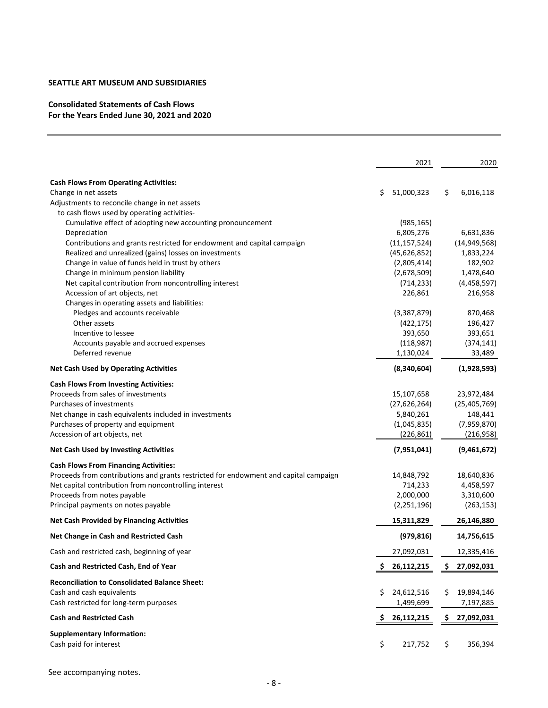# **Consolidated Statements of Cash Flows For the Years Ended June 30, 2021 and 2020**

|                                                                                      |    | 2021           |    | 2020           |
|--------------------------------------------------------------------------------------|----|----------------|----|----------------|
| <b>Cash Flows From Operating Activities:</b>                                         |    |                |    |                |
| Change in net assets                                                                 | \$ | 51,000,323     | \$ | 6,016,118      |
| Adjustments to reconcile change in net assets                                        |    |                |    |                |
| to cash flows used by operating activities-                                          |    |                |    |                |
| Cumulative effect of adopting new accounting pronouncement                           |    | (985, 165)     |    |                |
| Depreciation                                                                         |    | 6,805,276      |    | 6,631,836      |
| Contributions and grants restricted for endowment and capital campaign               |    | (11, 157, 524) |    | (14, 949, 568) |
| Realized and unrealized (gains) losses on investments                                |    | (45, 626, 852) |    | 1,833,224      |
| Change in value of funds held in trust by others                                     |    | (2,805,414)    |    | 182,902        |
| Change in minimum pension liability                                                  |    | (2,678,509)    |    | 1,478,640      |
| Net capital contribution from noncontrolling interest                                |    | (714, 233)     |    | (4,458,597)    |
| Accession of art objects, net                                                        |    | 226,861        |    | 216,958        |
| Changes in operating assets and liabilities:                                         |    |                |    |                |
| Pledges and accounts receivable                                                      |    | (3,387,879)    |    | 870,468        |
| Other assets                                                                         |    | (422, 175)     |    | 196,427        |
| Incentive to lessee                                                                  |    | 393,650        |    | 393,651        |
| Accounts payable and accrued expenses                                                |    | (118, 987)     |    | (374, 141)     |
| Deferred revenue                                                                     |    | 1,130,024      |    | 33,489         |
| <b>Net Cash Used by Operating Activities</b>                                         |    | (8,340,604)    |    | (1,928,593)    |
| <b>Cash Flows From Investing Activities:</b>                                         |    |                |    |                |
| Proceeds from sales of investments                                                   |    | 15,107,658     |    | 23,972,484     |
| Purchases of investments                                                             |    | (27,626,264)   |    | (25, 405, 769) |
| Net change in cash equivalents included in investments                               |    | 5,840,261      |    | 148,441        |
| Purchases of property and equipment                                                  |    | (1,045,835)    |    | (7,959,870)    |
| Accession of art objects, net                                                        |    | (226, 861)     |    | (216,958)      |
| <b>Net Cash Used by Investing Activities</b>                                         |    | (7,951,041)    |    | (9,461,672)    |
| <b>Cash Flows From Financing Activities:</b>                                         |    |                |    |                |
| Proceeds from contributions and grants restricted for endowment and capital campaign |    | 14,848,792     |    | 18,640,836     |
| Net capital contribution from noncontrolling interest                                |    | 714,233        |    | 4,458,597      |
| Proceeds from notes payable                                                          |    | 2,000,000      |    | 3,310,600      |
| Principal payments on notes payable                                                  |    | (2, 251, 196)  |    | (263, 153)     |
| <b>Net Cash Provided by Financing Activities</b>                                     |    | 15,311,829     |    | 26,146,880     |
| Net Change in Cash and Restricted Cash                                               |    | (979, 816)     |    | 14,756,615     |
| Cash and restricted cash, beginning of year                                          |    | 27,092,031     |    | 12,335,416     |
| Cash and Restricted Cash, End of Year                                                | s  | 26,112,215     | S  | 27,092,031     |
| <b>Reconciliation to Consolidated Balance Sheet:</b>                                 |    |                |    |                |
| Cash and cash equivalents                                                            | \$ | 24,612,516     | \$ | 19,894,146     |
| Cash restricted for long-term purposes                                               |    | 1,499,699      |    | 7,197,885      |
| <b>Cash and Restricted Cash</b>                                                      | S  | 26,112,215     | Ş. | 27,092,031     |
| <b>Supplementary Information:</b>                                                    |    |                |    |                |
| Cash paid for interest                                                               | \$ | 217,752        | \$ | 356,394        |

See accompanying notes.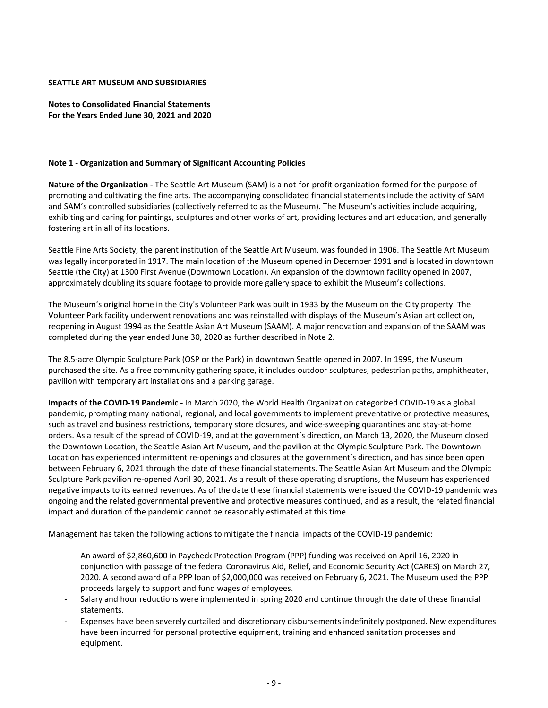**Notes to Consolidated Financial Statements For the Years Ended June 30, 2021 and 2020**

#### **Note 1 ‐ Organization and Summary of Significant Accounting Policies**

**Nature of the Organization ‐** The Seattle Art Museum (SAM) is a not‐for‐profit organization formed for the purpose of promoting and cultivating the fine arts. The accompanying consolidated financial statements include the activity of SAM and SAM's controlled subsidiaries (collectively referred to as the Museum). The Museum's activities include acquiring, exhibiting and caring for paintings, sculptures and other works of art, providing lectures and art education, and generally fostering art in all of its locations.

Seattle Fine Arts Society, the parent institution of the Seattle Art Museum, was founded in 1906. The Seattle Art Museum was legally incorporated in 1917. The main location of the Museum opened in December 1991 and is located in downtown Seattle (the City) at 1300 First Avenue (Downtown Location). An expansion of the downtown facility opened in 2007, approximately doubling its square footage to provide more gallery space to exhibit the Museum's collections.

The Museum's original home in the City's Volunteer Park was built in 1933 by the Museum on the City property. The Volunteer Park facility underwent renovations and was reinstalled with displays of the Museum's Asian art collection, reopening in August 1994 as the Seattle Asian Art Museum (SAAM). A major renovation and expansion of the SAAM was completed during the year ended June 30, 2020 as further described in Note 2.

The 8.5‐acre Olympic Sculpture Park (OSP or the Park) in downtown Seattle opened in 2007. In 1999, the Museum purchased the site. As a free community gathering space, it includes outdoor sculptures, pedestrian paths, amphitheater, pavilion with temporary art installations and a parking garage.

**Impacts of the COVID‐19 Pandemic ‐** In March 2020, the World Health Organization categorized COVID‐19 as a global pandemic, prompting many national, regional, and local governments to implement preventative or protective measures, such as travel and business restrictions, temporary store closures, and wide‐sweeping quarantines and stay‐at‐home orders. As a result of the spread of COVID‐19, and at the government's direction, on March 13, 2020, the Museum closed the Downtown Location, the Seattle Asian Art Museum, and the pavilion at the Olympic Sculpture Park. The Downtown Location has experienced intermittent re‐openings and closures at the government's direction, and has since been open between February 6, 2021 through the date of these financial statements. The Seattle Asian Art Museum and the Olympic Sculpture Park pavilion re‐opened April 30, 2021. As a result of these operating disruptions, the Museum has experienced negative impacts to its earned revenues. As of the date these financial statements were issued the COVID‐19 pandemic was ongoing and the related governmental preventive and protective measures continued, and as a result, the related financial impact and duration of the pandemic cannot be reasonably estimated at this time.

Management has taken the following actions to mitigate the financial impacts of the COVID‐19 pandemic:

- ‐ An award of \$2,860,600 in Paycheck Protection Program (PPP) funding was received on April 16, 2020 in conjunction with passage of the federal Coronavirus Aid, Relief, and Economic Security Act (CARES) on March 27, 2020. A second award of a PPP loan of \$2,000,000 was received on February 6, 2021. The Museum used the PPP proceeds largely to support and fund wages of employees.
- ‐ Salary and hour reductions were implemented in spring 2020 and continue through the date of these financial statements.
- ‐ Expenses have been severely curtailed and discretionary disbursements indefinitely postponed. New expenditures have been incurred for personal protective equipment, training and enhanced sanitation processes and equipment.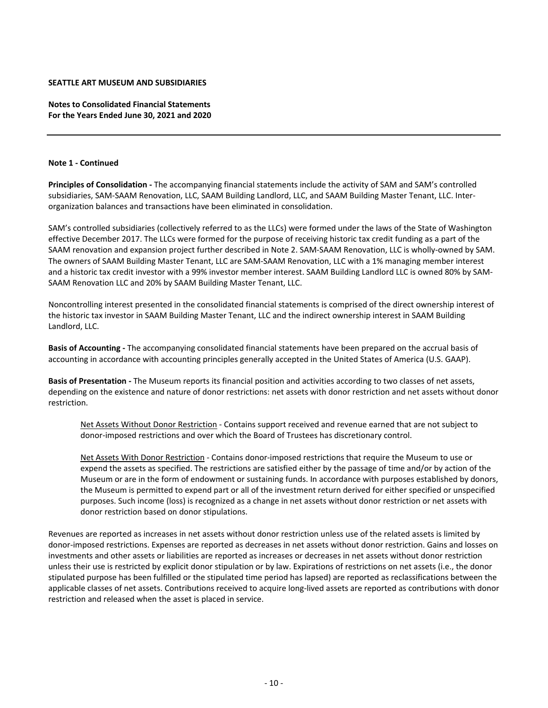**Notes to Consolidated Financial Statements For the Years Ended June 30, 2021 and 2020**

#### **Note 1 ‐ Continued**

**Principles of Consolidation ‐** The accompanying financial statements include the activity of SAM and SAM's controlled subsidiaries, SAM‐SAAM Renovation, LLC, SAAM Building Landlord, LLC, and SAAM Building Master Tenant, LLC. Inter‐ organization balances and transactions have been eliminated in consolidation.

SAM's controlled subsidiaries (collectively referred to as the LLCs) were formed under the laws of the State of Washington effective December 2017. The LLCs were formed for the purpose of receiving historic tax credit funding as a part of the SAAM renovation and expansion project further described in Note 2. SAM‐SAAM Renovation, LLC is wholly‐owned by SAM. The owners of SAAM Building Master Tenant, LLC are SAM‐SAAM Renovation, LLC with a 1% managing member interest and a historic tax credit investor with a 99% investor member interest. SAAM Building Landlord LLC is owned 80% by SAM‐ SAAM Renovation LLC and 20% by SAAM Building Master Tenant, LLC.

Noncontrolling interest presented in the consolidated financial statements is comprised of the direct ownership interest of the historic tax investor in SAAM Building Master Tenant, LLC and the indirect ownership interest in SAAM Building Landlord, LLC.

**Basis of Accounting ‐** The accompanying consolidated financial statements have been prepared on the accrual basis of accounting in accordance with accounting principles generally accepted in the United States of America (U.S. GAAP).

**Basis of Presentation ‐** The Museum reports its financial position and activities according to two classes of net assets, depending on the existence and nature of donor restrictions: net assets with donor restriction and net assets without donor restriction.

Net Assets Without Donor Restriction ‐ Contains support received and revenue earned that are not subject to donor‐imposed restrictions and over which the Board of Trustees has discretionary control.

Net Assets With Donor Restriction ‐ Contains donor‐imposed restrictions that require the Museum to use or expend the assets as specified. The restrictions are satisfied either by the passage of time and/or by action of the Museum or are in the form of endowment or sustaining funds. In accordance with purposes established by donors, the Museum is permitted to expend part or all of the investment return derived for either specified or unspecified purposes. Such income (loss) is recognized as a change in net assets without donor restriction or net assets with donor restriction based on donor stipulations.

Revenues are reported as increases in net assets without donor restriction unless use of the related assets is limited by donor-imposed restrictions. Expenses are reported as decreases in net assets without donor restriction. Gains and losses on investments and other assets or liabilities are reported as increases or decreases in net assets without donor restriction unless their use is restricted by explicit donor stipulation or by law. Expirations of restrictions on net assets (i.e., the donor stipulated purpose has been fulfilled or the stipulated time period has lapsed) are reported as reclassifications between the applicable classes of net assets. Contributions received to acquire long‐lived assets are reported as contributions with donor restriction and released when the asset is placed in service.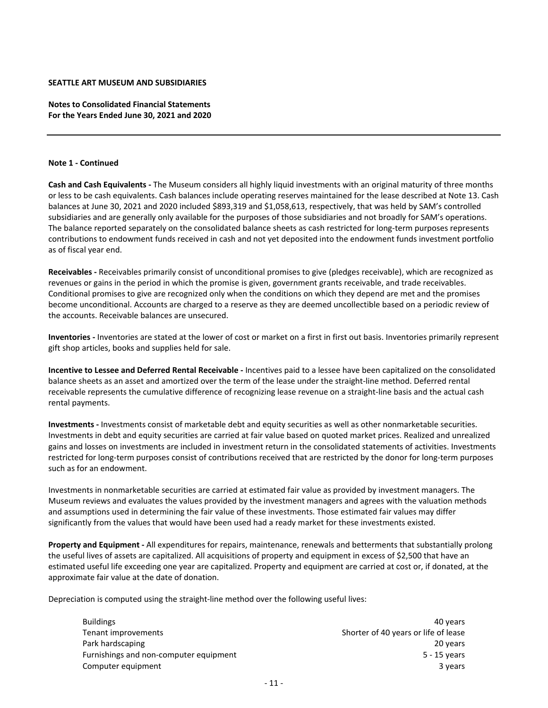**Notes to Consolidated Financial Statements For the Years Ended June 30, 2021 and 2020**

#### **Note 1 ‐ Continued**

**Cash and Cash Equivalents ‐** The Museum considers all highly liquid investments with an original maturity of three months or less to be cash equivalents. Cash balances include operating reserves maintained for the lease described at Note 13. Cash balances at June 30, 2021 and 2020 included \$893,319 and \$1,058,613, respectively, that was held by SAM's controlled subsidiaries and are generally only available for the purposes of those subsidiaries and not broadly for SAM's operations. The balance reported separately on the consolidated balance sheets as cash restricted for long-term purposes represents contributions to endowment funds received in cash and not yet deposited into the endowment funds investment portfolio as of fiscal year end.

**Receivables ‐** Receivables primarily consist of unconditional promises to give (pledges receivable), which are recognized as revenues or gains in the period in which the promise is given, government grants receivable, and trade receivables. Conditional promises to give are recognized only when the conditions on which they depend are met and the promises become unconditional. Accounts are charged to a reserve as they are deemed uncollectible based on a periodic review of the accounts. Receivable balances are unsecured.

**Inventories ‐** Inventories are stated at the lower of cost or market on a first in first out basis. Inventories primarily represent gift shop articles, books and supplies held for sale.

**Incentive to Lessee and Deferred Rental Receivable ‐** Incentives paid to a lessee have been capitalized on the consolidated balance sheets as an asset and amortized over the term of the lease under the straight‐line method. Deferred rental receivable represents the cumulative difference of recognizing lease revenue on a straight‐line basis and the actual cash rental payments.

**Investments ‐** Investments consist of marketable debt and equity securities as well as other nonmarketable securities. Investments in debt and equity securities are carried at fair value based on quoted market prices. Realized and unrealized gains and losses on investments are included in investment return in the consolidated statements of activities. Investments restricted for long-term purposes consist of contributions received that are restricted by the donor for long-term purposes such as for an endowment.

Investments in nonmarketable securities are carried at estimated fair value as provided by investment managers. The Museum reviews and evaluates the values provided by the investment managers and agrees with the valuation methods and assumptions used in determining the fair value of these investments. Those estimated fair values may differ significantly from the values that would have been used had a ready market for these investments existed.

**Property and Equipment ‐** All expenditures for repairs, maintenance, renewals and betterments that substantially prolong the useful lives of assets are capitalized. All acquisitions of property and equipment in excess of \$2,500 that have an estimated useful life exceeding one year are capitalized. Property and equipment are carried at cost or, if donated, at the approximate fair value at the date of donation.

Depreciation is computed using the straight-line method over the following useful lives:

| <b>Buildings</b>                       | 40 years                             |
|----------------------------------------|--------------------------------------|
| Tenant improvements                    | Shorter of 40 years or life of lease |
| Park hardscaping                       | 20 years                             |
| Furnishings and non-computer equipment | 5 - 15 years                         |
| Computer equipment                     | 3 years                              |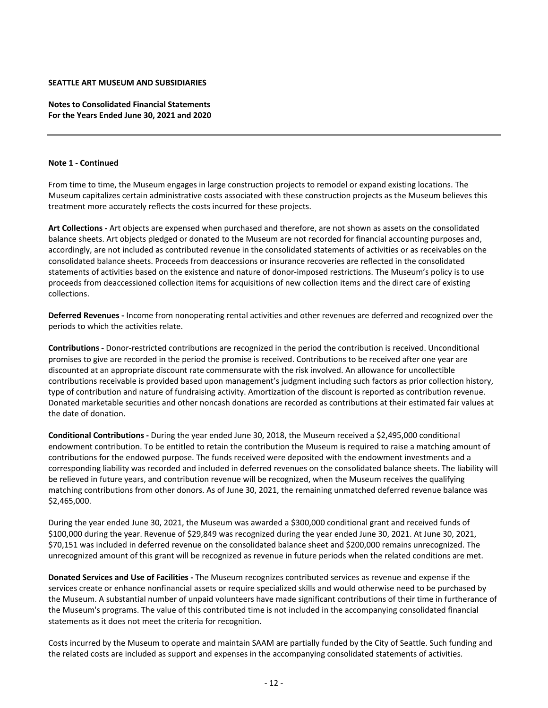**Notes to Consolidated Financial Statements For the Years Ended June 30, 2021 and 2020**

#### **Note 1 ‐ Continued**

From time to time, the Museum engages in large construction projects to remodel or expand existing locations. The Museum capitalizes certain administrative costs associated with these construction projects as the Museum believes this treatment more accurately reflects the costs incurred for these projects.

**Art Collections ‐** Art objects are expensed when purchased and therefore, are not shown as assets on the consolidated balance sheets. Art objects pledged or donated to the Museum are not recorded for financial accounting purposes and, accordingly, are not included as contributed revenue in the consolidated statements of activities or as receivables on the consolidated balance sheets. Proceeds from deaccessions or insurance recoveries are reflected in the consolidated statements of activities based on the existence and nature of donor‐imposed restrictions. The Museum's policy is to use proceeds from deaccessioned collection items for acquisitions of new collection items and the direct care of existing collections.

**Deferred Revenues ‐** Income from nonoperating rental activities and other revenues are deferred and recognized over the periods to which the activities relate.

**Contributions ‐** Donor‐restricted contributions are recognized in the period the contribution is received. Unconditional promises to give are recorded in the period the promise is received. Contributions to be received after one year are discounted at an appropriate discount rate commensurate with the risk involved. An allowance for uncollectible contributions receivable is provided based upon management's judgment including such factors as prior collection history, type of contribution and nature of fundraising activity. Amortization of the discount is reported as contribution revenue. Donated marketable securities and other noncash donations are recorded as contributions at their estimated fair values at the date of donation.

**Conditional Contributions ‐** During the year ended June 30, 2018, the Museum received a \$2,495,000 conditional endowment contribution. To be entitled to retain the contribution the Museum is required to raise a matching amount of contributions for the endowed purpose. The funds received were deposited with the endowment investments and a corresponding liability was recorded and included in deferred revenues on the consolidated balance sheets. The liability will be relieved in future years, and contribution revenue will be recognized, when the Museum receives the qualifying matching contributions from other donors. As of June 30, 2021, the remaining unmatched deferred revenue balance was \$2,465,000.

During the year ended June 30, 2021, the Museum was awarded a \$300,000 conditional grant and received funds of \$100,000 during the year. Revenue of \$29,849 was recognized during the year ended June 30, 2021. At June 30, 2021, \$70,151 was included in deferred revenue on the consolidated balance sheet and \$200,000 remains unrecognized. The unrecognized amount of this grant will be recognized as revenue in future periods when the related conditions are met.

**Donated Services and Use of Facilities ‐** The Museum recognizes contributed services as revenue and expense if the services create or enhance nonfinancial assets or require specialized skills and would otherwise need to be purchased by the Museum. A substantial number of unpaid volunteers have made significant contributions of their time in furtherance of the Museum's programs. The value of this contributed time is not included in the accompanying consolidated financial statements as it does not meet the criteria for recognition.

Costs incurred by the Museum to operate and maintain SAAM are partially funded by the City of Seattle. Such funding and the related costs are included as support and expenses in the accompanying consolidated statements of activities.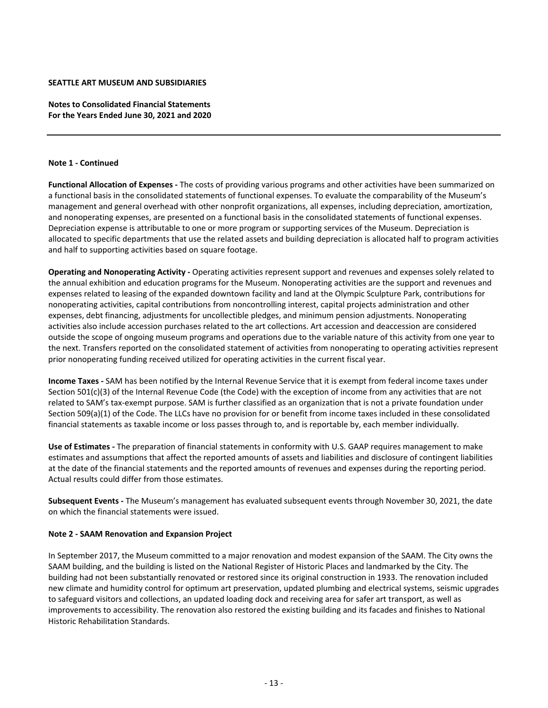**Notes to Consolidated Financial Statements For the Years Ended June 30, 2021 and 2020**

#### **Note 1 ‐ Continued**

**Functional Allocation of Expenses ‐** The costs of providing various programs and other activities have been summarized on a functional basis in the consolidated statements of functional expenses. To evaluate the comparability of the Museum's management and general overhead with other nonprofit organizations, all expenses, including depreciation, amortization, and nonoperating expenses, are presented on a functional basis in the consolidated statements of functional expenses. Depreciation expense is attributable to one or more program or supporting services of the Museum. Depreciation is allocated to specific departments that use the related assets and building depreciation is allocated half to program activities and half to supporting activities based on square footage.

**Operating and Nonoperating Activity ‐** Operating activities represent support and revenues and expenses solely related to the annual exhibition and education programs for the Museum. Nonoperating activities are the support and revenues and expenses related to leasing of the expanded downtown facility and land at the Olympic Sculpture Park, contributions for nonoperating activities, capital contributions from noncontrolling interest, capital projects administration and other expenses, debt financing, adjustments for uncollectible pledges, and minimum pension adjustments. Nonoperating activities also include accession purchases related to the art collections. Art accession and deaccession are considered outside the scope of ongoing museum programs and operations due to the variable nature of this activity from one year to the next. Transfers reported on the consolidated statement of activities from nonoperating to operating activities represent prior nonoperating funding received utilized for operating activities in the current fiscal year.

**Income Taxes ‐** SAM has been notified by the Internal Revenue Service that it is exempt from federal income taxes under Section 501(c)(3) of the Internal Revenue Code (the Code) with the exception of income from any activities that are not related to SAM's tax‐exempt purpose. SAM is further classified as an organization that is not a private foundation under Section 509(a)(1) of the Code. The LLCs have no provision for or benefit from income taxes included in these consolidated financial statements as taxable income or loss passes through to, and is reportable by, each member individually.

**Use of Estimates ‐** The preparation of financial statements in conformity with U.S. GAAP requires management to make estimates and assumptions that affect the reported amounts of assets and liabilities and disclosure of contingent liabilities at the date of the financial statements and the reported amounts of revenues and expenses during the reporting period. Actual results could differ from those estimates.

**Subsequent Events ‐** The Museum's management has evaluated subsequent events through November 30, 2021, the date on which the financial statements were issued.

#### **Note 2 ‐ SAAM Renovation and Expansion Project**

In September 2017, the Museum committed to a major renovation and modest expansion of the SAAM. The City owns the SAAM building, and the building is listed on the National Register of Historic Places and landmarked by the City. The building had not been substantially renovated or restored since its original construction in 1933. The renovation included new climate and humidity control for optimum art preservation, updated plumbing and electrical systems, seismic upgrades to safeguard visitors and collections, an updated loading dock and receiving area for safer art transport, as well as improvements to accessibility. The renovation also restored the existing building and its facades and finishes to National Historic Rehabilitation Standards.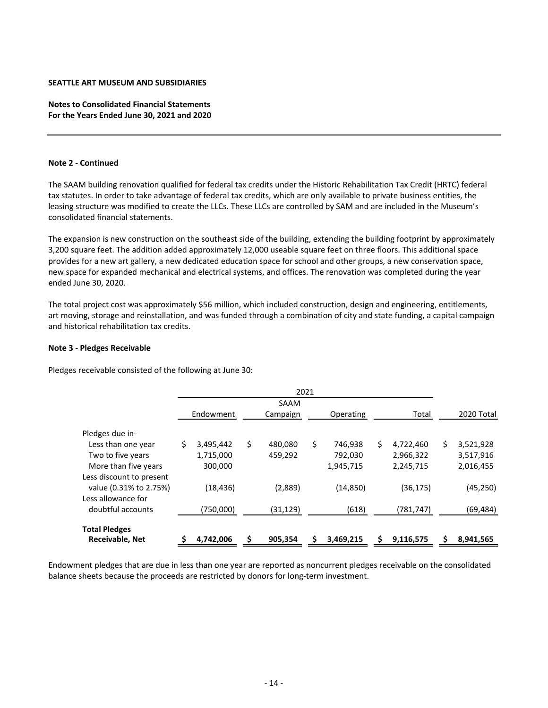# **Notes to Consolidated Financial Statements For the Years Ended June 30, 2021 and 2020**

#### **Note 2 ‐ Continued**

The SAAM building renovation qualified for federal tax credits under the Historic Rehabilitation Tax Credit (HRTC) federal tax statutes. In order to take advantage of federal tax credits, which are only available to private business entities, the leasing structure was modified to create the LLCs. These LLCs are controlled by SAM and are included in the Museum's consolidated financial statements.

The expansion is new construction on the southeast side of the building, extending the building footprint by approximately 3,200 square feet. The addition added approximately 12,000 useable square feet on three floors. This additional space provides for a new art gallery, a new dedicated education space for school and other groups, a new conservation space, new space for expanded mechanical and electrical systems, and offices. The renovation was completed during the year ended June 30, 2020.

The total project cost was approximately \$56 million, which included construction, design and engineering, entitlements, art moving, storage and reinstallation, and was funded through a combination of city and state funding, a capital campaign and historical rehabilitation tax credits.

#### **Note 3 ‐ Pledges Receivable**

Pledges receivable consisted of the following at June 30:

|                          |                 | 2021          |               |    |           |    |            |
|--------------------------|-----------------|---------------|---------------|----|-----------|----|------------|
|                          |                 | SAAM          |               |    |           |    |            |
|                          | Endowment       | Campaign      | Operating     |    | Total     |    | 2020 Total |
| Pledges due in-          |                 |               |               |    |           |    |            |
| Less than one year       | \$<br>3,495,442 | \$<br>480,080 | \$<br>746,938 | Ś. | 4,722,460 | Ś. | 3,521,928  |
| Two to five years        | 1,715,000       | 459,292       | 792,030       |    | 2,966,322 |    | 3,517,916  |
| More than five years     | 300,000         |               | 1,945,715     |    | 2,245,715 |    | 2,016,455  |
| Less discount to present |                 |               |               |    |           |    |            |
| value (0.31% to 2.75%)   | (18, 436)       | (2,889)       | (14, 850)     |    | (36, 175) |    | (45, 250)  |
| Less allowance for       |                 |               |               |    |           |    |            |
| doubtful accounts        | (750,000)       | (31, 129)     | (618)         |    | (781,747) |    | (69,484)   |
| <b>Total Pledges</b>     |                 |               |               |    |           |    |            |
| <b>Receivable, Net</b>   | 4,742,006       | \$<br>905,354 | 3,469,215     |    | 9,116,575 |    | 8,941,565  |

Endowment pledges that are due in less than one year are reported as noncurrent pledges receivable on the consolidated balance sheets because the proceeds are restricted by donors for long‐term investment.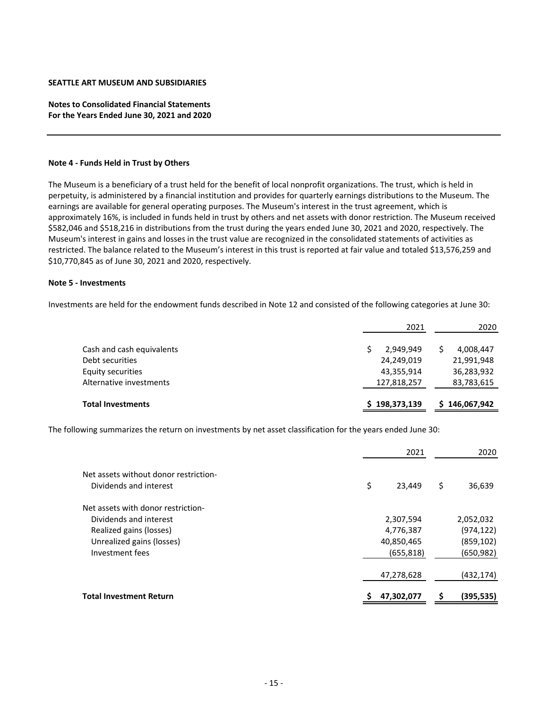# **Notes to Consolidated Financial Statements For the Years Ended June 30, 2021 and 2020**

#### **Note 4 ‐ Funds Held in Trust by Others**

The Museum is a beneficiary of a trust held for the benefit of local nonprofit organizations. The trust, which is held in perpetuity, is administered by a financial institution and provides for quarterly earnings distributions to the Museum. The earnings are available for general operating purposes. The Museum's interest in the trust agreement, which is approximately 16%, is included in funds held in trust by others and net assets with donor restriction. The Museum received \$582,046 and \$518,216 in distributions from the trust during the years ended June 30, 2021 and 2020, respectively. The Museum's interest in gains and losses in the trust value are recognized in the consolidated statements of activities as restricted. The balance related to the Museum's interest in this trust is reported at fair value and totaled \$13,576,259 and \$10,770,845 as of June 30, 2021 and 2020, respectively.

#### **Note 5 ‐ Investments**

Investments are held for the endowment funds described in Note 12 and consisted of the following categories at June 30:

|                                                                   | 2021                                  | 2020                                  |
|-------------------------------------------------------------------|---------------------------------------|---------------------------------------|
| Cash and cash equivalents<br>Debt securities<br>Equity securities | 2,949,949<br>24,249,019<br>43,355,914 | 4,008,447<br>21,991,948<br>36,283,932 |
| Alternative investments                                           | 127,818,257                           | 83,783,615                            |
| <b>Total Investments</b>                                          | \$198,373,139                         | 146,067,942<br>S.                     |

The following summarizes the return on investments by net asset classification for the years ended June 30:

|                                                                 | 2021         | 2020         |
|-----------------------------------------------------------------|--------------|--------------|
| Net assets without donor restriction-<br>Dividends and interest | \$<br>23,449 | \$<br>36,639 |
| Net assets with donor restriction-                              |              |              |
| Dividends and interest                                          | 2,307,594    | 2,052,032    |
| Realized gains (losses)                                         | 4,776,387    | (974, 122)   |
| Unrealized gains (losses)                                       | 40,850,465   | (859, 102)   |
| Investment fees                                                 | (655, 818)   | (650, 982)   |
|                                                                 | 47,278,628   | (432,174)    |
| <b>Total Investment Return</b>                                  | 47,302,077   | (395,535)    |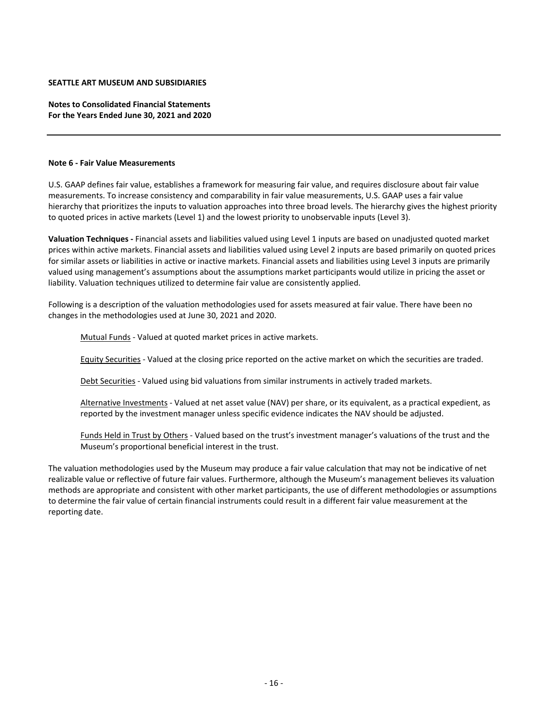**Notes to Consolidated Financial Statements For the Years Ended June 30, 2021 and 2020**

#### **Note 6 ‐ Fair Value Measurements**

U.S. GAAP defines fair value, establishes a framework for measuring fair value, and requires disclosure about fair value measurements. To increase consistency and comparability in fair value measurements, U.S. GAAP uses a fair value hierarchy that prioritizes the inputs to valuation approaches into three broad levels. The hierarchy gives the highest priority to quoted prices in active markets (Level 1) and the lowest priority to unobservable inputs (Level 3).

**Valuation Techniques ‐** Financial assets and liabilities valued using Level 1 inputs are based on unadjusted quoted market prices within active markets. Financial assets and liabilities valued using Level 2 inputs are based primarily on quoted prices for similar assets or liabilities in active or inactive markets. Financial assets and liabilities using Level 3 inputs are primarily valued using management's assumptions about the assumptions market participants would utilize in pricing the asset or liability. Valuation techniques utilized to determine fair value are consistently applied.

Following is a description of the valuation methodologies used for assets measured at fair value. There have been no changes in the methodologies used at June 30, 2021 and 2020.

Mutual Funds ‐ Valued at quoted market prices in active markets.

Equity Securities ‐ Valued at the closing price reported on the active market on which the securities are traded.

Debt Securities ‐ Valued using bid valuations from similar instruments in actively traded markets.

Alternative Investments - Valued at net asset value (NAV) per share, or its equivalent, as a practical expedient, as reported by the investment manager unless specific evidence indicates the NAV should be adjusted.

Funds Held in Trust by Others ‐ Valued based on the trust's investment manager's valuations of the trust and the Museum's proportional beneficial interest in the trust.

The valuation methodologies used by the Museum may produce a fair value calculation that may not be indicative of net realizable value or reflective of future fair values. Furthermore, although the Museum's management believes its valuation methods are appropriate and consistent with other market participants, the use of different methodologies or assumptions to determine the fair value of certain financial instruments could result in a different fair value measurement at the reporting date.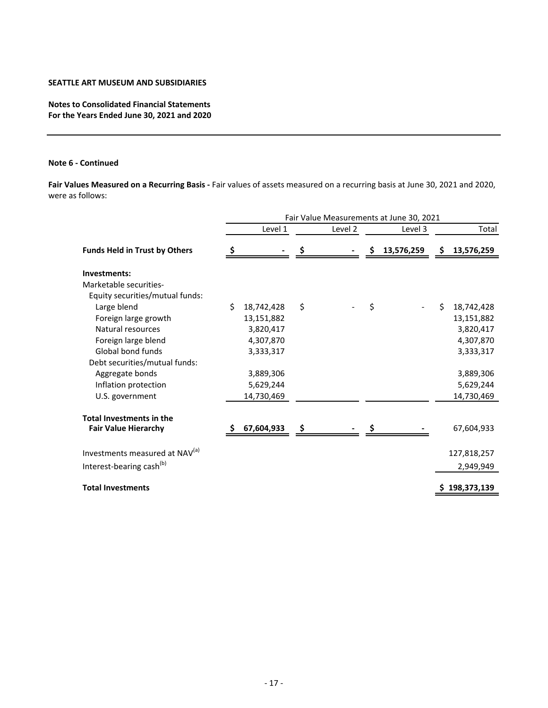**Notes to Consolidated Financial Statements For the Years Ended June 30, 2021 and 2020**

# **Note 6 ‐ Continued**

**Fair Values Measured on a Recurring Basis ‐** Fair values of assets measured on a recurring basis at June 30, 2021 and 2020, were as follows:

|                                            | Fair Value Measurements at June 30, 2021 |            |    |         |    |            |     |               |  |  |
|--------------------------------------------|------------------------------------------|------------|----|---------|----|------------|-----|---------------|--|--|
|                                            |                                          | Level 1    |    | Level 2 |    | Level 3    |     | Total         |  |  |
| <b>Funds Held in Trust by Others</b>       |                                          |            |    |         |    | 13,576,259 | \$. | 13,576,259    |  |  |
| Investments:                               |                                          |            |    |         |    |            |     |               |  |  |
| Marketable securities-                     |                                          |            |    |         |    |            |     |               |  |  |
| Equity securities/mutual funds:            |                                          |            |    |         |    |            |     |               |  |  |
| Large blend                                | \$                                       | 18,742,428 | \$ |         | \$ |            | \$  | 18,742,428    |  |  |
| Foreign large growth                       |                                          | 13,151,882 |    |         |    |            |     | 13,151,882    |  |  |
| Natural resources                          |                                          | 3,820,417  |    |         |    |            |     | 3,820,417     |  |  |
| Foreign large blend                        |                                          | 4,307,870  |    |         |    |            |     | 4,307,870     |  |  |
| Global bond funds                          |                                          | 3,333,317  |    |         |    |            |     | 3,333,317     |  |  |
| Debt securities/mutual funds:              |                                          |            |    |         |    |            |     |               |  |  |
| Aggregate bonds                            |                                          | 3,889,306  |    |         |    |            |     | 3,889,306     |  |  |
| Inflation protection                       |                                          | 5,629,244  |    |         |    |            |     | 5,629,244     |  |  |
| U.S. government                            |                                          | 14,730,469 |    |         |    |            |     | 14,730,469    |  |  |
| <b>Total Investments in the</b>            |                                          |            |    |         |    |            |     |               |  |  |
| <b>Fair Value Hierarchy</b>                |                                          | 67,604,933 | Ş  |         |    |            |     | 67,604,933    |  |  |
| Investments measured at NAV <sup>(a)</sup> |                                          |            |    |         |    |            |     | 127,818,257   |  |  |
| Interest-bearing cash <sup>(b)</sup>       |                                          |            |    |         |    |            |     | 2,949,949     |  |  |
| <b>Total Investments</b>                   |                                          |            |    |         |    |            |     | \$198,373,139 |  |  |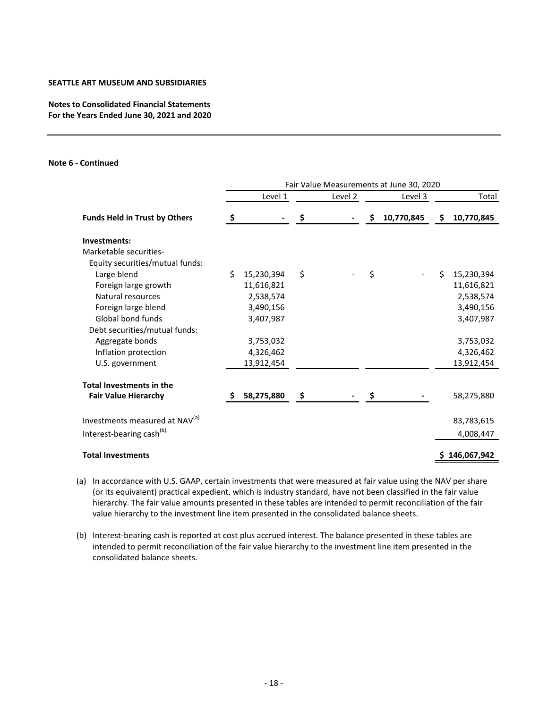# **Notes to Consolidated Financial Statements For the Years Ended June 30, 2021 and 2020**

#### **Note 6 ‐ Continued**

|                                            | Fair Value Measurements at June 30, 2020 |            |    |                    |     |            |                  |
|--------------------------------------------|------------------------------------------|------------|----|--------------------|-----|------------|------------------|
|                                            |                                          | Level 1    |    | Level <sub>2</sub> |     | Level 3    | Total            |
| <b>Funds Held in Trust by Others</b>       |                                          |            |    |                    | \$. | 10,770,845 | \$<br>10,770,845 |
| Investments:                               |                                          |            |    |                    |     |            |                  |
| Marketable securities-                     |                                          |            |    |                    |     |            |                  |
| Equity securities/mutual funds:            |                                          |            |    |                    |     |            |                  |
| Large blend                                | Ś.                                       | 15,230,394 | \$ |                    | \$  |            | \$<br>15,230,394 |
| Foreign large growth                       |                                          | 11,616,821 |    |                    |     |            | 11,616,821       |
| Natural resources                          |                                          | 2,538,574  |    |                    |     |            | 2,538,574        |
| Foreign large blend                        |                                          | 3,490,156  |    |                    |     |            | 3,490,156        |
| Global bond funds                          |                                          | 3,407,987  |    |                    |     |            | 3,407,987        |
| Debt securities/mutual funds:              |                                          |            |    |                    |     |            |                  |
| Aggregate bonds                            |                                          | 3,753,032  |    |                    |     |            | 3,753,032        |
| Inflation protection                       |                                          | 4,326,462  |    |                    |     |            | 4,326,462        |
| U.S. government                            |                                          | 13,912,454 |    |                    |     |            | 13,912,454       |
| <b>Total Investments in the</b>            |                                          |            |    |                    |     |            |                  |
| <b>Fair Value Hierarchy</b>                |                                          | 58,275,880 |    |                    |     |            | 58,275,880       |
| Investments measured at NAV <sup>(a)</sup> |                                          |            |    |                    |     |            | 83,783,615       |
| Interest-bearing cash <sup>(b)</sup>       |                                          |            |    |                    |     |            | 4,008,447        |
|                                            |                                          |            |    |                    |     |            |                  |
| <b>Total Investments</b>                   |                                          |            |    |                    |     |            | \$146,067,942    |

(a) In accordance with U.S. GAAP, certain investments that were measured at fair value using the NAV per share (or its equivalent) practical expedient, which is industry standard, have not been classified in the fair value hierarchy. The fair value amounts presented in these tables are intended to permit reconciliation of the fair value hierarchy to the investment line item presented in the consolidated balance sheets.

(b) Interest-bearing cash is reported at cost plus accrued interest. The balance presented in these tables are intended to permit reconciliation of the fair value hierarchy to the investment line item presented in the consolidated balance sheets.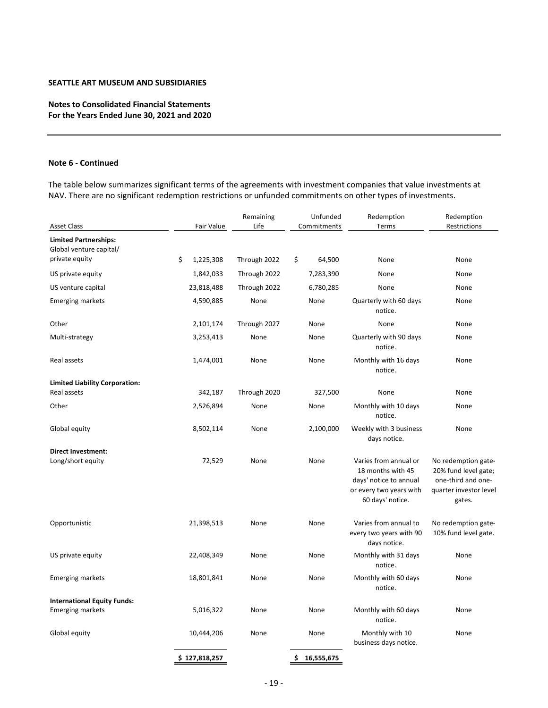# **Notes to Consolidated Financial Statements For the Years Ended June 30, 2021 and 2020**

#### **Note 6 ‐ Continued**

The table below summarizes significant terms of the agreements with investment companies that value investments at NAV. There are no significant redemption restrictions or unfunded commitments on other types of investments.

| Asset Class                           | Fair Value      | Remaining<br>Life | Unfunded<br>Commitments | Redemption<br>Terms                                                                                                 | Redemption<br>Restrictions                                                                            |
|---------------------------------------|-----------------|-------------------|-------------------------|---------------------------------------------------------------------------------------------------------------------|-------------------------------------------------------------------------------------------------------|
| <b>Limited Partnerships:</b>          |                 |                   |                         |                                                                                                                     |                                                                                                       |
| Global venture capital/               |                 |                   |                         |                                                                                                                     |                                                                                                       |
| private equity                        | \$<br>1,225,308 | Through 2022      | \$<br>64,500            | None                                                                                                                | None                                                                                                  |
| US private equity                     | 1,842,033       | Through 2022      | 7,283,390               | None                                                                                                                | None                                                                                                  |
| US venture capital                    | 23,818,488      | Through 2022      | 6,780,285               | None                                                                                                                | None                                                                                                  |
| <b>Emerging markets</b>               | 4,590,885       | None              | None                    | Quarterly with 60 days<br>notice.                                                                                   | None                                                                                                  |
| Other                                 | 2,101,174       | Through 2027      | None                    | None                                                                                                                | None                                                                                                  |
| Multi-strategy                        | 3,253,413       | None              | None                    | Quarterly with 90 days<br>notice.                                                                                   | None                                                                                                  |
| Real assets                           | 1,474,001       | None              | None                    | Monthly with 16 days<br>notice.                                                                                     | None                                                                                                  |
| <b>Limited Liability Corporation:</b> |                 |                   |                         |                                                                                                                     |                                                                                                       |
| Real assets                           | 342,187         | Through 2020      | 327,500                 | None                                                                                                                | None                                                                                                  |
| Other                                 | 2,526,894       | None              | None                    | Monthly with 10 days<br>notice.                                                                                     | None                                                                                                  |
| Global equity                         | 8,502,114       | None              | 2,100,000               | Weekly with 3 business<br>days notice.                                                                              | None                                                                                                  |
| <b>Direct Investment:</b>             |                 |                   |                         |                                                                                                                     |                                                                                                       |
| Long/short equity                     | 72,529          | None              | None                    | Varies from annual or<br>18 months with 45<br>days' notice to annual<br>or every two years with<br>60 days' notice. | No redemption gate-<br>20% fund level gate;<br>one-third and one-<br>quarter investor level<br>gates. |
| Opportunistic                         | 21,398,513      | None              | None                    | Varies from annual to<br>every two years with 90<br>days notice.                                                    | No redemption gate-<br>10% fund level gate.                                                           |
| US private equity                     | 22,408,349      | None              | None                    | Monthly with 31 days<br>notice.                                                                                     | None                                                                                                  |
| <b>Emerging markets</b>               | 18,801,841      | None              | None                    | Monthly with 60 days<br>notice.                                                                                     | None                                                                                                  |
| <b>International Equity Funds:</b>    |                 |                   |                         |                                                                                                                     |                                                                                                       |
| <b>Emerging markets</b>               | 5,016,322       | None              | None                    | Monthly with 60 days<br>notice.                                                                                     | None                                                                                                  |
| Global equity                         | 10,444,206      | None              | None                    | Monthly with 10<br>business days notice.                                                                            | None                                                                                                  |
|                                       | \$127,818,257   |                   | \$<br>16,555,675        |                                                                                                                     |                                                                                                       |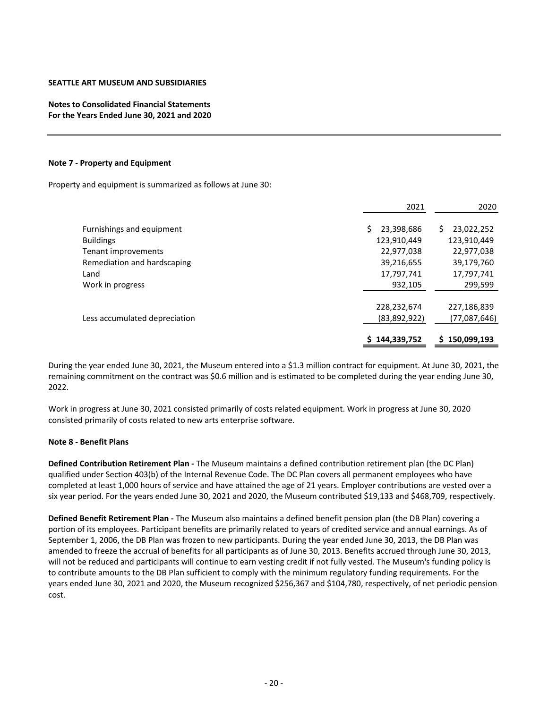# **Notes to Consolidated Financial Statements For the Years Ended June 30, 2021 and 2020**

#### **Note 7 ‐ Property and Equipment**

Property and equipment is summarized as follows at June 30:

|                                                                                | 2021                                              | 2020                                              |
|--------------------------------------------------------------------------------|---------------------------------------------------|---------------------------------------------------|
| Furnishings and equipment<br><b>Buildings</b>                                  | Ś<br>23,398,686<br>123,910,449                    | Ś.<br>23,022,252<br>123,910,449                   |
| Tenant improvements<br>Remediation and hardscaping<br>Land<br>Work in progress | 22,977,038<br>39,216,655<br>17,797,741<br>932,105 | 22,977,038<br>39,179,760<br>17,797,741<br>299,599 |
| Less accumulated depreciation                                                  | 228,232,674<br>(83,892,922)<br>\$144,339,752      | 227,186,839<br>(77,087,646)<br>150,099,193<br>S.  |

During the year ended June 30, 2021, the Museum entered into a \$1.3 million contract for equipment. At June 30, 2021, the remaining commitment on the contract was \$0.6 million and is estimated to be completed during the year ending June 30, 2022.

Work in progress at June 30, 2021 consisted primarily of costs related equipment. Work in progress at June 30, 2020 consisted primarily of costs related to new arts enterprise software.

## **Note 8 ‐ Benefit Plans**

**Defined Contribution Retirement Plan ‐** The Museum maintains a defined contribution retirement plan (the DC Plan) qualified under Section 403(b) of the Internal Revenue Code. The DC Plan covers all permanent employees who have completed at least 1,000 hours of service and have attained the age of 21 years. Employer contributions are vested over a six year period. For the years ended June 30, 2021 and 2020, the Museum contributed \$19,133 and \$468,709, respectively.

**Defined Benefit Retirement Plan ‐** The Museum also maintains a defined benefit pension plan (the DB Plan) covering a portion of its employees. Participant benefits are primarily related to years of credited service and annual earnings. As of September 1, 2006, the DB Plan was frozen to new participants. During the year ended June 30, 2013, the DB Plan was amended to freeze the accrual of benefits for all participants as of June 30, 2013. Benefits accrued through June 30, 2013, will not be reduced and participants will continue to earn vesting credit if not fully vested. The Museum's funding policy is to contribute amounts to the DB Plan sufficient to comply with the minimum regulatory funding requirements. For the years ended June 30, 2021 and 2020, the Museum recognized \$256,367 and \$104,780, respectively, of net periodic pension cost.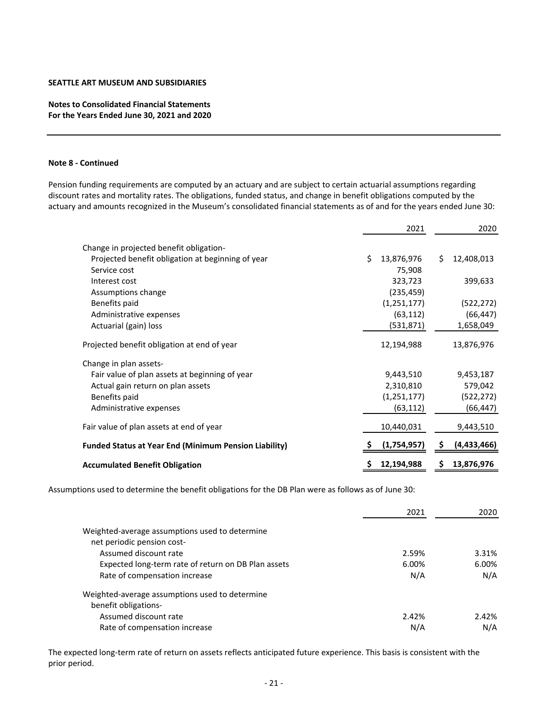# **Notes to Consolidated Financial Statements For the Years Ended June 30, 2021 and 2020**

#### **Note 8 ‐ Continued**

Pension funding requirements are computed by an actuary and are subject to certain actuarial assumptions regarding discount rates and mortality rates. The obligations, funded status, and change in benefit obligations computed by the actuary and amounts recognized in the Museum's consolidated financial statements as of and for the years ended June 30:

|                                                              |    | 2021          | 2020 |             |
|--------------------------------------------------------------|----|---------------|------|-------------|
| Change in projected benefit obligation-                      |    |               |      |             |
| Projected benefit obligation at beginning of year            | Ś. | 13,876,976    | Ś.   | 12,408,013  |
| Service cost                                                 |    | 75,908        |      |             |
| Interest cost                                                |    | 323,723       |      | 399,633     |
| Assumptions change                                           |    | (235, 459)    |      |             |
| Benefits paid                                                |    | (1, 251, 177) |      | (522, 272)  |
| Administrative expenses                                      |    | (63, 112)     |      | (66, 447)   |
| Actuarial (gain) loss                                        |    | (531, 871)    |      | 1,658,049   |
| Projected benefit obligation at end of year                  |    | 12,194,988    |      | 13,876,976  |
| Change in plan assets-                                       |    |               |      |             |
| Fair value of plan assets at beginning of year               |    | 9,443,510     |      | 9,453,187   |
| Actual gain return on plan assets                            |    | 2,310,810     |      | 579,042     |
| Benefits paid                                                |    | (1, 251, 177) |      | (522, 272)  |
| Administrative expenses                                      |    | (63, 112)     |      | (66, 447)   |
| Fair value of plan assets at end of year                     |    | 10,440,031    |      | 9,443,510   |
| <b>Funded Status at Year End (Minimum Pension Liability)</b> |    | (1,754,957)   | \$.  | (4,433,466) |
| <b>Accumulated Benefit Obligation</b>                        |    | 12,194,988    | Ş    | 13,876,976  |

Assumptions used to determine the benefit obligations for the DB Plan were as follows as of June 30:

|                                                     | 2021  | 2020  |
|-----------------------------------------------------|-------|-------|
| Weighted-average assumptions used to determine      |       |       |
| net periodic pension cost-                          |       |       |
| Assumed discount rate                               | 2.59% | 3.31% |
| Expected long-term rate of return on DB Plan assets | 6.00% | 6.00% |
| Rate of compensation increase                       | N/A   | N/A   |
| Weighted-average assumptions used to determine      |       |       |
| benefit obligations-                                |       |       |
| Assumed discount rate                               | 2.42% | 2.42% |
| Rate of compensation increase                       | N/A   | N/A   |

The expected long‐term rate of return on assets reflects anticipated future experience. This basis is consistent with the prior period.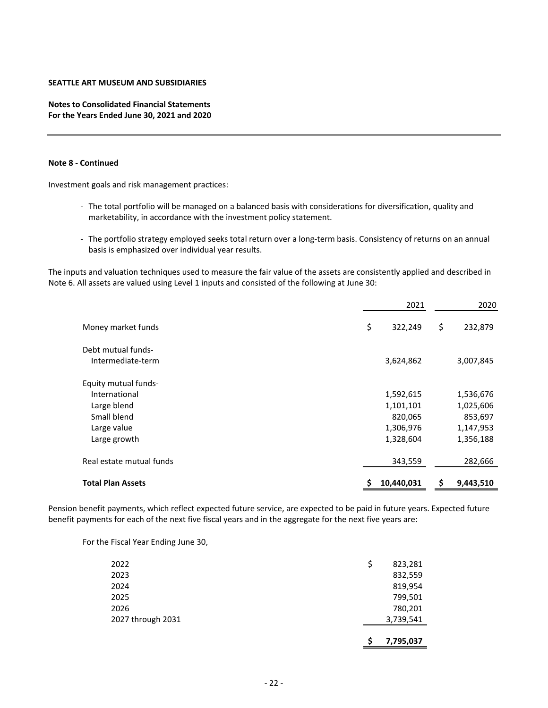# **Notes to Consolidated Financial Statements For the Years Ended June 30, 2021 and 2020**

#### **Note 8 ‐ Continued**

Investment goals and risk management practices:

- ‐ The total portfolio will be managed on a balanced basis with considerations for diversification, quality and marketability, in accordance with the investment policy statement.
- ‐ The portfolio strategy employed seeks total return over a long‐term basis. Consistency of returns on an annual basis is emphasized over individual year results.

The inputs and valuation techniques used to measure the fair value of the assets are consistently applied and described in Note 6. All assets are valued using Level 1 inputs and consisted of the following at June 30:

|                                              | 2021                   |     | 2020                   |
|----------------------------------------------|------------------------|-----|------------------------|
| Money market funds                           | \$<br>322,249          | \$  | 232,879                |
| Debt mutual funds-<br>Intermediate-term      | 3,624,862              |     | 3,007,845              |
| <b>Equity mutual funds-</b><br>International |                        |     |                        |
| Large blend                                  | 1,592,615<br>1,101,101 |     | 1,536,676<br>1,025,606 |
| Small blend<br>Large value                   | 820,065<br>1,306,976   |     | 853,697<br>1,147,953   |
| Large growth                                 | 1,328,604              |     | 1,356,188              |
| Real estate mutual funds                     | 343,559                |     | 282,666                |
| <b>Total Plan Assets</b>                     | 10,440,031             | \$. | 9,443,510              |

Pension benefit payments, which reflect expected future service, are expected to be paid in future years. Expected future benefit payments for each of the next five fiscal years and in the aggregate for the next five years are:

For the Fiscal Year Ending June 30,

|                   | 7,795,037     |
|-------------------|---------------|
| 2027 through 2031 | 3,739,541     |
| 2026              | 780,201       |
| 2025              | 799,501       |
| 2024              | 819,954       |
| 2023              | 832,559       |
| 2022              | \$<br>823,281 |
|                   |               |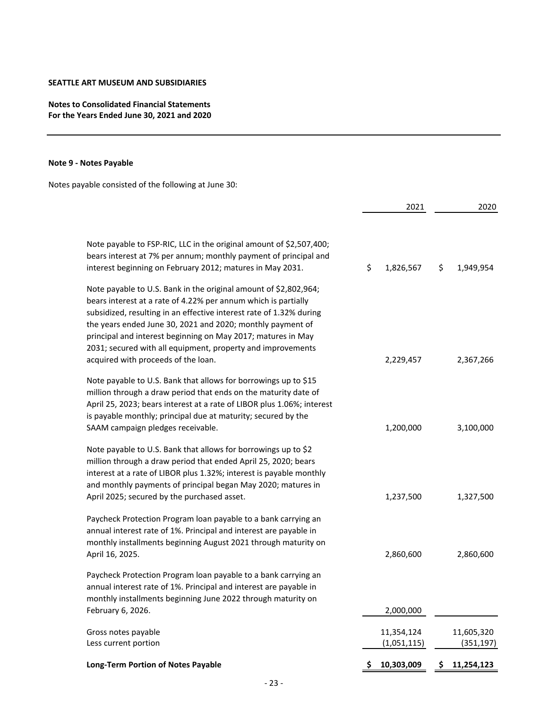# **Notes to Consolidated Financial Statements For the Years Ended June 30, 2021 and 2020**

# **Note 9 ‐ Notes Payable**

Notes payable consisted of the following at June 30:

|                                                                                                                                                                                                                                                                                                                                                                                                        |    | 2021                      | 2020                     |
|--------------------------------------------------------------------------------------------------------------------------------------------------------------------------------------------------------------------------------------------------------------------------------------------------------------------------------------------------------------------------------------------------------|----|---------------------------|--------------------------|
| Note payable to FSP-RIC, LLC in the original amount of \$2,507,400;<br>bears interest at 7% per annum; monthly payment of principal and<br>interest beginning on February 2012; matures in May 2031.                                                                                                                                                                                                   | \$ | 1,826,567                 | \$<br>1,949,954          |
| Note payable to U.S. Bank in the original amount of \$2,802,964;<br>bears interest at a rate of 4.22% per annum which is partially<br>subsidized, resulting in an effective interest rate of 1.32% during<br>the years ended June 30, 2021 and 2020; monthly payment of<br>principal and interest beginning on May 2017; matures in May<br>2031; secured with all equipment, property and improvements |    |                           |                          |
| acquired with proceeds of the loan.<br>Note payable to U.S. Bank that allows for borrowings up to \$15<br>million through a draw period that ends on the maturity date of<br>April 25, 2023; bears interest at a rate of LIBOR plus 1.06%; interest<br>is payable monthly; principal due at maturity; secured by the<br>SAAM campaign pledges receivable.                                              |    | 2,229,457<br>1,200,000    | 2,367,266<br>3,100,000   |
| Note payable to U.S. Bank that allows for borrowings up to \$2<br>million through a draw period that ended April 25, 2020; bears<br>interest at a rate of LIBOR plus 1.32%; interest is payable monthly<br>and monthly payments of principal began May 2020; matures in<br>April 2025; secured by the purchased asset.                                                                                 |    | 1,237,500                 | 1,327,500                |
| Paycheck Protection Program loan payable to a bank carrying an<br>annual interest rate of 1%. Principal and interest are payable in<br>monthly installments beginning August 2021 through maturity on<br>April 16, 2025.                                                                                                                                                                               |    | 2,860,600                 | 2,860,600                |
| Paycheck Protection Program loan payable to a bank carrying an<br>annual interest rate of 1%. Principal and interest are payable in<br>monthly installments beginning June 2022 through maturity on<br>February 6, 2026.                                                                                                                                                                               |    | 2,000,000                 |                          |
| Gross notes payable<br>Less current portion                                                                                                                                                                                                                                                                                                                                                            |    | 11,354,124<br>(1,051,115) | 11,605,320<br>(351, 197) |
| <b>Long-Term Portion of Notes Payable</b>                                                                                                                                                                                                                                                                                                                                                              | S  | 10,303,009                | \$<br>11,254,123         |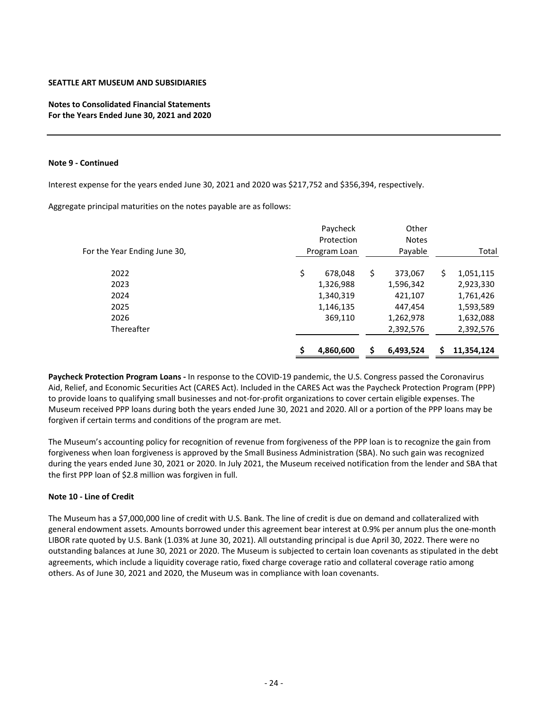**Notes to Consolidated Financial Statements For the Years Ended June 30, 2021 and 2020**

#### **Note 9 ‐ Continued**

Interest expense for the years ended June 30, 2021 and 2020 was \$217,752 and \$356,394, respectively.

Aggregate principal maturities on the notes payable are as follows:

| For the Year Ending June 30, | Paycheck<br>Protection<br>Program Loan | Other<br><b>Notes</b><br>Payable |     | Total      |
|------------------------------|----------------------------------------|----------------------------------|-----|------------|
| 2022                         | \$<br>678,048                          | \$<br>373,067                    | \$. | 1,051,115  |
| 2023                         | 1,326,988                              | 1,596,342                        |     | 2,923,330  |
| 2024                         | 1,340,319                              | 421,107                          |     | 1,761,426  |
| 2025                         | 1,146,135                              | 447,454                          |     | 1,593,589  |
| 2026                         | 369,110                                | 1,262,978                        |     | 1,632,088  |
| Thereafter                   |                                        | 2,392,576                        |     | 2,392,576  |
|                              | 4,860,600                              | 6,493,524                        |     | 11,354,124 |

**Paycheck Protection Program Loans ‐** In response to the COVID‐19 pandemic, the U.S. Congress passed the Coronavirus Aid, Relief, and Economic Securities Act (CARES Act). Included in the CARES Act was the Paycheck Protection Program (PPP) to provide loans to qualifying small businesses and not-for-profit organizations to cover certain eligible expenses. The Museum received PPP loans during both the years ended June 30, 2021 and 2020. All or a portion of the PPP loans may be forgiven if certain terms and conditions of the program are met.

The Museum's accounting policy for recognition of revenue from forgiveness of the PPP loan is to recognize the gain from forgiveness when loan forgiveness is approved by the Small Business Administration (SBA). No such gain was recognized during the years ended June 30, 2021 or 2020. In July 2021, the Museum received notification from the lender and SBA that the first PPP loan of \$2.8 million was forgiven in full.

# **Note 10 ‐ Line of Credit**

The Museum has a \$7,000,000 line of credit with U.S. Bank. The line of credit is due on demand and collateralized with general endowment assets. Amounts borrowed under this agreement bear interest at 0.9% per annum plus the one-month LIBOR rate quoted by U.S. Bank (1.03% at June 30, 2021). All outstanding principal is due April 30, 2022. There were no outstanding balances at June 30, 2021 or 2020. The Museum is subjected to certain loan covenants as stipulated in the debt agreements, which include a liquidity coverage ratio, fixed charge coverage ratio and collateral coverage ratio among others. As of June 30, 2021 and 2020, the Museum was in compliance with loan covenants.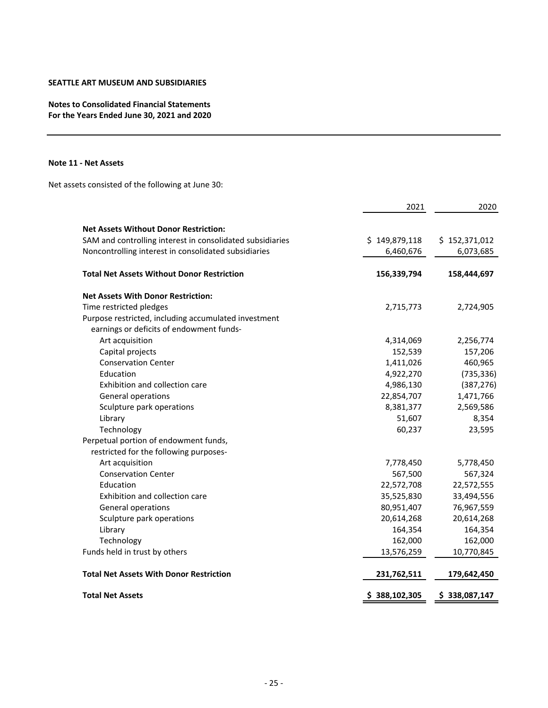# **Notes to Consolidated Financial Statements For the Years Ended June 30, 2021 and 2020**

#### **Note 11 ‐ Net Assets**

Net assets consisted of the following at June 30:

|                                                           | 2021          | 2020          |
|-----------------------------------------------------------|---------------|---------------|
| <b>Net Assets Without Donor Restriction:</b>              |               |               |
| SAM and controlling interest in consolidated subsidiaries | \$149,879,118 | \$152,371,012 |
| Noncontrolling interest in consolidated subsidiaries      | 6,460,676     | 6,073,685     |
| <b>Total Net Assets Without Donor Restriction</b>         | 156,339,794   | 158,444,697   |
| <b>Net Assets With Donor Restriction:</b>                 |               |               |
| Time restricted pledges                                   | 2,715,773     | 2,724,905     |
| Purpose restricted, including accumulated investment      |               |               |
| earnings or deficits of endowment funds-                  |               |               |
| Art acquisition                                           | 4,314,069     | 2,256,774     |
| Capital projects                                          | 152,539       | 157,206       |
| <b>Conservation Center</b>                                | 1,411,026     | 460,965       |
| Education                                                 | 4,922,270     | (735, 336)    |
| Exhibition and collection care                            | 4,986,130     | (387, 276)    |
| General operations                                        | 22,854,707    | 1,471,766     |
| Sculpture park operations                                 | 8,381,377     | 2,569,586     |
| Library                                                   | 51,607        | 8,354         |
| Technology                                                | 60,237        | 23,595        |
| Perpetual portion of endowment funds,                     |               |               |
| restricted for the following purposes-                    |               |               |
| Art acquisition                                           | 7,778,450     | 5,778,450     |
| <b>Conservation Center</b>                                | 567,500       | 567,324       |
| Education                                                 | 22,572,708    | 22,572,555    |
| Exhibition and collection care                            | 35,525,830    | 33,494,556    |
| General operations                                        | 80,951,407    | 76,967,559    |
| Sculpture park operations                                 | 20,614,268    | 20,614,268    |
| Library                                                   | 164,354       | 164,354       |
| Technology                                                | 162,000       | 162,000       |
| Funds held in trust by others                             | 13,576,259    | 10,770,845    |
| <b>Total Net Assets With Donor Restriction</b>            | 231,762,511   | 179,642,450   |
| <b>Total Net Assets</b>                                   | \$388,102,305 | \$338,087,147 |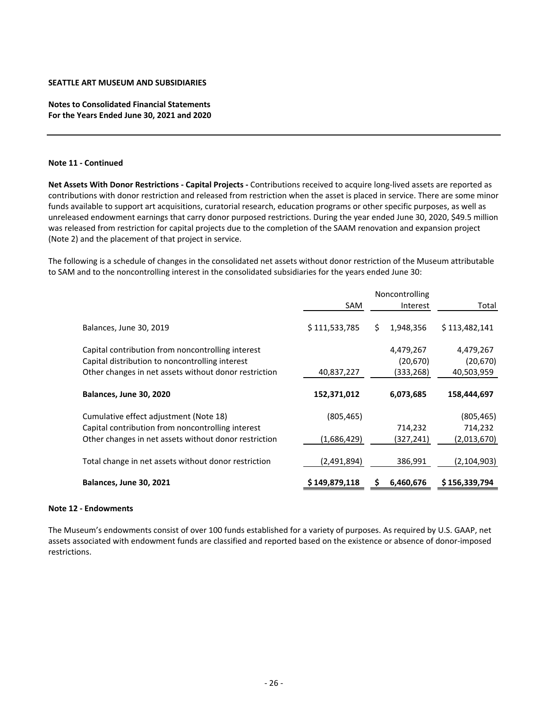**Notes to Consolidated Financial Statements For the Years Ended June 30, 2021 and 2020**

#### **Note 11 ‐ Continued**

**Net Assets With Donor Restrictions ‐ Capital Projects ‐** Contributions received to acquire long‐lived assets are reported as contributions with donor restriction and released from restriction when the asset is placed in service. There are some minor funds available to support art acquisitions, curatorial research, education programs or other specific purposes, as well as unreleased endowment earnings that carry donor purposed restrictions. During the year ended June 30, 2020, \$49.5 million was released from restriction for capital projects due to the completion of the SAAM renovation and expansion project (Note 2) and the placement of that project in service.

The following is a schedule of changes in the consolidated net assets without donor restriction of the Museum attributable to SAM and to the noncontrolling interest in the consolidated subsidiaries for the years ended June 30:

|                                                       |               | Noncontrolling |           |               |  |
|-------------------------------------------------------|---------------|----------------|-----------|---------------|--|
|                                                       | SAM           |                | Interest  | Total         |  |
| Balances, June 30, 2019                               | \$111,533,785 | S              | 1,948,356 | \$113,482,141 |  |
| Capital contribution from noncontrolling interest     |               |                | 4,479,267 | 4,479,267     |  |
| Capital distribution to noncontrolling interest       |               |                | (20, 670) | (20, 670)     |  |
| Other changes in net assets without donor restriction | 40,837,227    |                | (333,268) | 40,503,959    |  |
| Balances, June 30, 2020                               | 152,371,012   |                | 6,073,685 | 158,444,697   |  |
| Cumulative effect adjustment (Note 18)                | (805,465)     |                |           | (805, 465)    |  |
| Capital contribution from noncontrolling interest     |               |                | 714,232   | 714,232       |  |
| Other changes in net assets without donor restriction | (1,686,429)   |                | (327,241) | (2,013,670)   |  |
| Total change in net assets without donor restriction  | (2,491,894)   |                | 386,991   | (2, 104, 903) |  |
| Balances, June 30, 2021                               | \$149,879,118 |                | 6,460,676 | \$156,339,794 |  |

## **Note 12 ‐ Endowments**

The Museum's endowments consist of over 100 funds established for a variety of purposes. As required by U.S. GAAP, net assets associated with endowment funds are classified and reported based on the existence or absence of donor-imposed restrictions.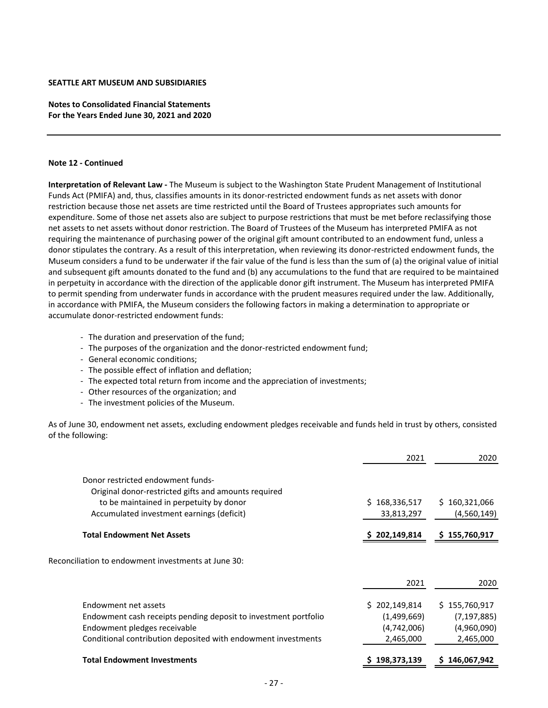**Notes to Consolidated Financial Statements For the Years Ended June 30, 2021 and 2020**

#### **Note 12 ‐ Continued**

**Interpretation of Relevant Law ‐** The Museum is subject to the Washington State Prudent Management of Institutional Funds Act (PMIFA) and, thus, classifies amounts in its donor‐restricted endowment funds as net assets with donor restriction because those net assets are time restricted until the Board of Trustees appropriates such amounts for expenditure. Some of those net assets also are subject to purpose restrictions that must be met before reclassifying those net assets to net assets without donor restriction. The Board of Trustees of the Museum has interpreted PMIFA as not requiring the maintenance of purchasing power of the original gift amount contributed to an endowment fund, unless a donor stipulates the contrary. As a result of this interpretation, when reviewing its donor-restricted endowment funds, the Museum considers a fund to be underwater if the fair value of the fund is less than the sum of (a) the original value of initial and subsequent gift amounts donated to the fund and (b) any accumulations to the fund that are required to be maintained in perpetuity in accordance with the direction of the applicable donor gift instrument. The Museum has interpreted PMIFA to permit spending from underwater funds in accordance with the prudent measures required under the law. Additionally, in accordance with PMIFA, the Museum considers the following factors in making a determination to appropriate or accumulate donor‐restricted endowment funds:

- ‐ The duration and preservation of the fund;
- ‐ The purposes of the organization and the donor‐restricted endowment fund;
- ‐ General economic conditions;
- ‐ The possible effect of inflation and deflation;
- ‐ The expected total return from income and the appreciation of investments;
- ‐ Other resources of the organization; and
- ‐ The investment policies of the Museum.

As of June 30, endowment net assets, excluding endowment pledges receivable and funds held in trust by others, consisted of the following:

|                                                                 | 2021              | 2020          |
|-----------------------------------------------------------------|-------------------|---------------|
| Donor restricted endowment funds-                               |                   |               |
| Original donor-restricted gifts and amounts required            |                   |               |
| to be maintained in perpetuity by donor                         | 168,336,517<br>S. | \$160,321,066 |
| Accumulated investment earnings (deficit)                       | 33,813,297        | (4,560,149)   |
| <b>Total Endowment Net Assets</b>                               | \$202,149,814     | \$155,760,917 |
|                                                                 |                   |               |
| Reconciliation to endowment investments at June 30:             |                   |               |
|                                                                 | 2021              | 2020          |
| Endowment net assets                                            | \$202,149,814     | \$155,760,917 |
| Endowment cash receipts pending deposit to investment portfolio | (1,499,669)       | (7, 197, 885) |
| Endowment pledges receivable                                    | (4,742,006)       | (4,960,090)   |
| Conditional contribution deposited with endowment investments   | 2,465,000         | 2,465,000     |
| <b>Total Endowment Investments</b>                              | 198,373,139       | 146,067,942   |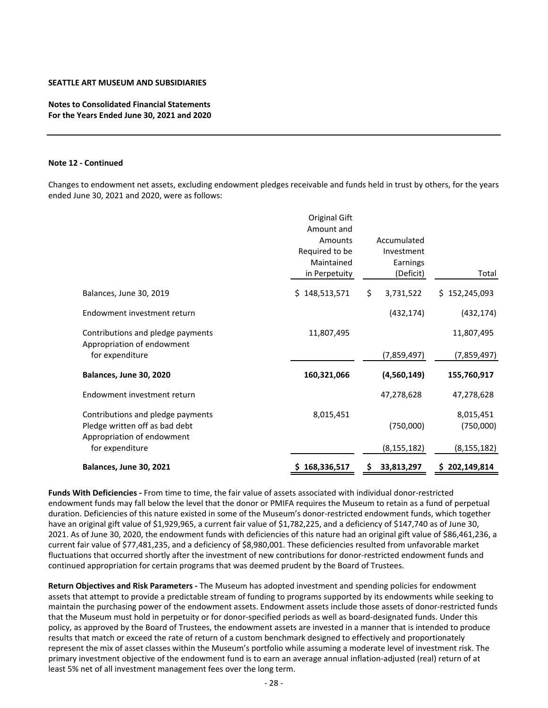# **Notes to Consolidated Financial Statements For the Years Ended June 30, 2021 and 2020**

#### **Note 12 ‐ Continued**

Changes to endowment net assets, excluding endowment pledges receivable and funds held in trust by others, for the years ended June 30, 2021 and 2020, were as follows:

|                                                                                                   | Original Gift<br>Amount and<br>Amounts<br>Required to be<br>Maintained<br>in Perpetuity |     | Accumulated<br>Investment<br>Earnings<br>(Deficit) | Total                  |
|---------------------------------------------------------------------------------------------------|-----------------------------------------------------------------------------------------|-----|----------------------------------------------------|------------------------|
| Balances, June 30, 2019                                                                           | \$148,513,571                                                                           | \$  | 3,731,522                                          | \$152,245,093          |
| Endowment investment return                                                                       |                                                                                         |     | (432, 174)                                         | (432, 174)             |
| Contributions and pledge payments<br>Appropriation of endowment                                   | 11,807,495                                                                              |     |                                                    | 11,807,495             |
| for expenditure                                                                                   |                                                                                         |     | (7,859,497)                                        | (7,859,497)            |
| Balances, June 30, 2020                                                                           | 160,321,066                                                                             |     | (4,560,149)                                        | 155,760,917            |
| Endowment investment return                                                                       |                                                                                         |     | 47,278,628                                         | 47,278,628             |
| Contributions and pledge payments<br>Pledge written off as bad debt<br>Appropriation of endowment | 8,015,451                                                                               |     | (750,000)                                          | 8,015,451<br>(750,000) |
| for expenditure                                                                                   |                                                                                         |     | (8, 155, 182)                                      | (8, 155, 182)          |
| Balances, June 30, 2021                                                                           | 168,336,517                                                                             | \$. | 33,813,297                                         | \$202,149,814          |

**Funds With Deficiencies ‐** From time to time, the fair value of assets associated with individual donor‐restricted endowment funds may fall below the level that the donor or PMIFA requires the Museum to retain as a fund of perpetual duration. Deficiencies of this nature existed in some of the Museum's donor-restricted endowment funds, which together have an original gift value of \$1,929,965, a current fair value of \$1,782,225, and a deficiency of \$147,740 as of June 30, 2021. As of June 30, 2020, the endowment funds with deficiencies of this nature had an original gift value of \$86,461,236, a current fair value of \$77,481,235, and a deficiency of \$8,980,001. These deficiencies resulted from unfavorable market fluctuations that occurred shortly after the investment of new contributions for donor-restricted endowment funds and continued appropriation for certain programs that was deemed prudent by the Board of Trustees.

**Return Objectives and Risk Parameters ‐** The Museum has adopted investment and spending policies for endowment assets that attempt to provide a predictable stream of funding to programs supported by its endowments while seeking to maintain the purchasing power of the endowment assets. Endowment assets include those assets of donor-restricted funds that the Museum must hold in perpetuity or for donor‐specified periods as well as board‐designated funds. Under this policy, as approved by the Board of Trustees, the endowment assets are invested in a manner that is intended to produce results that match or exceed the rate of return of a custom benchmark designed to effectively and proportionately represent the mix of asset classes within the Museum's portfolio while assuming a moderate level of investment risk. The primary investment objective of the endowment fund is to earn an average annual inflation-adjusted (real) return of at least 5% net of all investment management fees over the long term.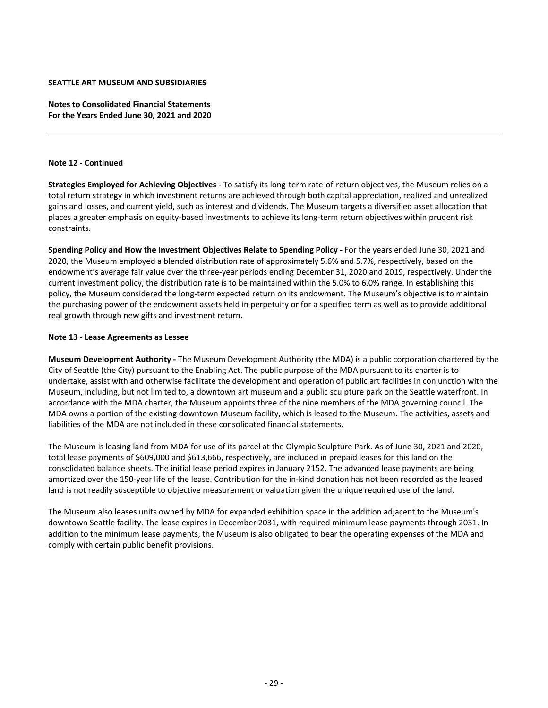**Notes to Consolidated Financial Statements For the Years Ended June 30, 2021 and 2020**

#### **Note 12 ‐ Continued**

**Strategies Employed for Achieving Objectives ‐** To satisfy its long‐term rate‐of‐return objectives, the Museum relies on a total return strategy in which investment returns are achieved through both capital appreciation, realized and unrealized gains and losses, and current yield, such as interest and dividends. The Museum targets a diversified asset allocation that places a greater emphasis on equity-based investments to achieve its long-term return objectives within prudent risk constraints.

**Spending Policy and How the Investment Objectives Relate to Spending Policy ‐** For the years ended June 30, 2021 and 2020, the Museum employed a blended distribution rate of approximately 5.6% and 5.7%, respectively, based on the endowment's average fair value over the three‐year periods ending December 31, 2020 and 2019, respectively. Under the current investment policy, the distribution rate is to be maintained within the 5.0% to 6.0% range. In establishing this policy, the Museum considered the long-term expected return on its endowment. The Museum's objective is to maintain the purchasing power of the endowment assets held in perpetuity or for a specified term as well as to provide additional real growth through new gifts and investment return.

#### **Note 13 ‐ Lease Agreements as Lessee**

**Museum Development Authority ‐** The Museum Development Authority (the MDA) is a public corporation chartered by the City of Seattle (the City) pursuant to the Enabling Act. The public purpose of the MDA pursuant to its charter is to undertake, assist with and otherwise facilitate the development and operation of public art facilities in conjunction with the Museum, including, but not limited to, a downtown art museum and a public sculpture park on the Seattle waterfront. In accordance with the MDA charter, the Museum appoints three of the nine members of the MDA governing council. The MDA owns a portion of the existing downtown Museum facility, which is leased to the Museum. The activities, assets and liabilities of the MDA are not included in these consolidated financial statements.

The Museum is leasing land from MDA for use of its parcel at the Olympic Sculpture Park. As of June 30, 2021 and 2020, total lease payments of \$609,000 and \$613,666, respectively, are included in prepaid leases for this land on the consolidated balance sheets. The initial lease period expires in January 2152. The advanced lease payments are being amortized over the 150‐year life of the lease. Contribution for the in‐kind donation has not been recorded as the leased land is not readily susceptible to objective measurement or valuation given the unique required use of the land.

The Museum also leases units owned by MDA for expanded exhibition space in the addition adjacent to the Museum's downtown Seattle facility. The lease expires in December 2031, with required minimum lease payments through 2031. In addition to the minimum lease payments, the Museum is also obligated to bear the operating expenses of the MDA and comply with certain public benefit provisions.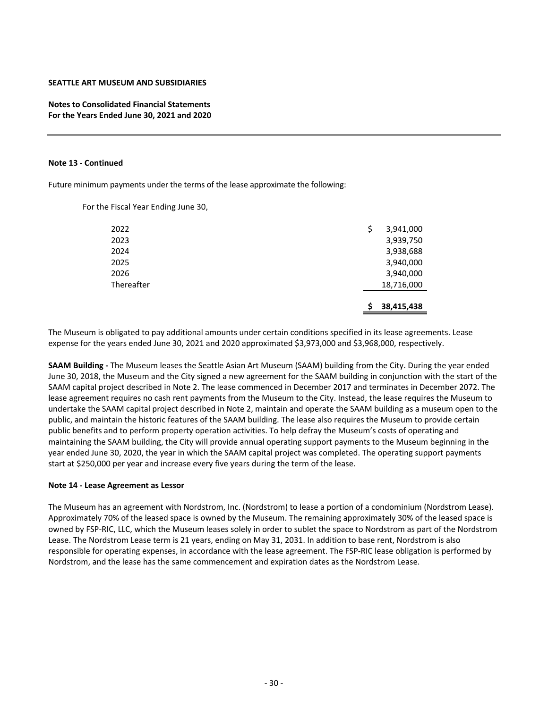**Notes to Consolidated Financial Statements For the Years Ended June 30, 2021 and 2020**

#### **Note 13 ‐ Continued**

Future minimum payments under the terms of the lease approximate the following:

For the Fiscal Year Ending June 30,

|            | 38,415,438      |
|------------|-----------------|
| Thereafter | 18,716,000      |
| 2026       | 3,940,000       |
| 2025       | 3,940,000       |
| 2024       | 3,938,688       |
| 2023       | 3,939,750       |
| 2022       | \$<br>3,941,000 |
|            |                 |

The Museum is obligated to pay additional amounts under certain conditions specified in its lease agreements. Lease expense for the years ended June 30, 2021 and 2020 approximated \$3,973,000 and \$3,968,000, respectively.

**SAAM Building ‐** The Museum leases the Seattle Asian Art Museum (SAAM) building from the City. During the year ended June 30, 2018, the Museum and the City signed a new agreement for the SAAM building in conjunction with the start of the SAAM capital project described in Note 2. The lease commenced in December 2017 and terminates in December 2072. The lease agreement requires no cash rent payments from the Museum to the City. Instead, the lease requires the Museum to undertake the SAAM capital project described in Note 2, maintain and operate the SAAM building as a museum open to the public, and maintain the historic features of the SAAM building. The lease also requires the Museum to provide certain public benefits and to perform property operation activities. To help defray the Museum's costs of operating and maintaining the SAAM building, the City will provide annual operating support payments to the Museum beginning in the year ended June 30, 2020, the year in which the SAAM capital project was completed. The operating support payments start at \$250,000 per year and increase every five years during the term of the lease.

#### **Note 14 ‐ Lease Agreement as Lessor**

The Museum has an agreement with Nordstrom, Inc. (Nordstrom) to lease a portion of a condominium (Nordstrom Lease). Approximately 70% of the leased space is owned by the Museum. The remaining approximately 30% of the leased space is owned by FSP‐RIC, LLC, which the Museum leases solely in order to sublet the space to Nordstrom as part of the Nordstrom Lease. The Nordstrom Lease term is 21 years, ending on May 31, 2031. In addition to base rent, Nordstrom is also responsible for operating expenses, in accordance with the lease agreement. The FSP‐RIC lease obligation is performed by Nordstrom, and the lease has the same commencement and expiration dates as the Nordstrom Lease.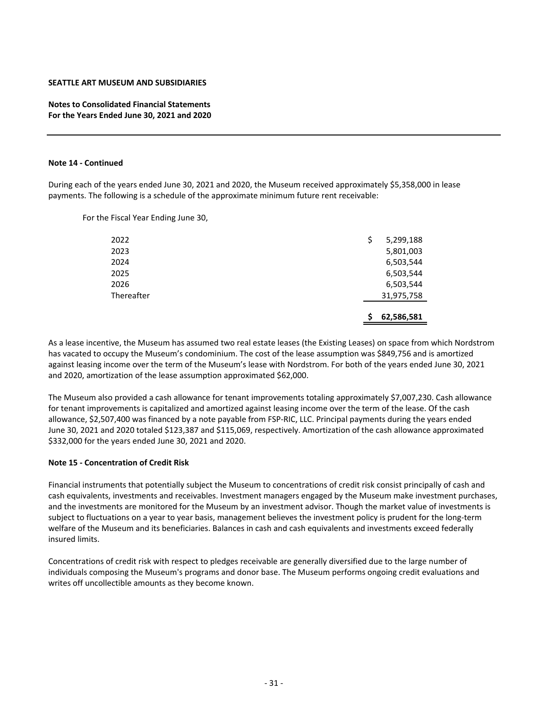**Notes to Consolidated Financial Statements For the Years Ended June 30, 2021 and 2020**

#### **Note 14 ‐ Continued**

During each of the years ended June 30, 2021 and 2020, the Museum received approximately \$5,358,000 in lease payments. The following is a schedule of the approximate minimum future rent receivable:

For the Fiscal Year Ending June 30,

|            | 62,586,581      |
|------------|-----------------|
| Thereafter | 31,975,758      |
| 2026       | 6,503,544       |
| 2025       | 6,503,544       |
| 2024       | 6,503,544       |
| 2023       | 5,801,003       |
| 2022       | \$<br>5,299,188 |
|            |                 |

As a lease incentive, the Museum has assumed two real estate leases (the Existing Leases) on space from which Nordstrom has vacated to occupy the Museum's condominium. The cost of the lease assumption was \$849,756 and is amortized against leasing income over the term of the Museum's lease with Nordstrom. For both of the years ended June 30, 2021 and 2020, amortization of the lease assumption approximated \$62,000.

The Museum also provided a cash allowance for tenant improvements totaling approximately \$7,007,230. Cash allowance for tenant improvements is capitalized and amortized against leasing income over the term of the lease. Of the cash allowance, \$2,507,400 was financed by a note payable from FSP‐RIC, LLC. Principal payments during the years ended June 30, 2021 and 2020 totaled \$123,387 and \$115,069, respectively. Amortization of the cash allowance approximated \$332,000 for the years ended June 30, 2021 and 2020.

## **Note 15 ‐ Concentration of Credit Risk**

Financial instruments that potentially subject the Museum to concentrations of credit risk consist principally of cash and cash equivalents, investments and receivables. Investment managers engaged by the Museum make investment purchases, and the investments are monitored for the Museum by an investment advisor. Though the market value of investments is subject to fluctuations on a year to year basis, management believes the investment policy is prudent for the long-term welfare of the Museum and its beneficiaries. Balances in cash and cash equivalents and investments exceed federally insured limits.

Concentrations of credit risk with respect to pledges receivable are generally diversified due to the large number of individuals composing the Museum's programs and donor base. The Museum performs ongoing credit evaluations and writes off uncollectible amounts as they become known.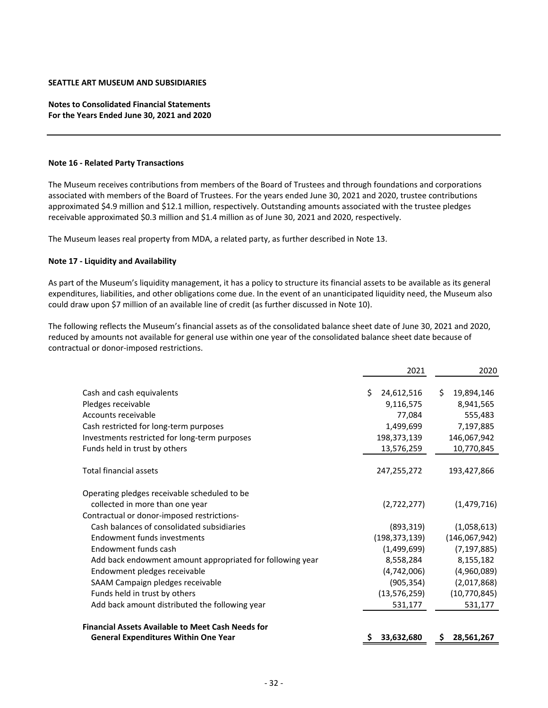# **Notes to Consolidated Financial Statements For the Years Ended June 30, 2021 and 2020**

#### **Note 16 ‐ Related Party Transactions**

The Museum receives contributions from members of the Board of Trustees and through foundations and corporations associated with members of the Board of Trustees. For the years ended June 30, 2021 and 2020, trustee contributions approximated \$4.9 million and \$12.1 million, respectively. Outstanding amounts associated with the trustee pledges receivable approximated \$0.3 million and \$1.4 million as of June 30, 2021 and 2020, respectively.

The Museum leases real property from MDA, a related party, as further described in Note 13.

#### **Note 17 ‐ Liquidity and Availability**

As part of the Museum's liquidity management, it has a policy to structure its financial assets to be available as its general expenditures, liabilities, and other obligations come due. In the event of an unanticipated liquidity need, the Museum also could draw upon \$7 million of an available line of credit (as further discussed in Note 10).

The following reflects the Museum's financial assets as of the consolidated balance sheet date of June 30, 2021 and 2020, reduced by amounts not available for general use within one year of the consolidated balance sheet date because of contractual or donor‐imposed restrictions.

|                                                                                                                                                                                                    | 2021                                                                              | 2020                                                                               |
|----------------------------------------------------------------------------------------------------------------------------------------------------------------------------------------------------|-----------------------------------------------------------------------------------|------------------------------------------------------------------------------------|
| Cash and cash equivalents<br>Pledges receivable<br>Accounts receivable<br>Cash restricted for long-term purposes<br>Investments restricted for long-term purposes<br>Funds held in trust by others | Ś.<br>24,612,516<br>9,116,575<br>77,084<br>1,499,699<br>198,373,139<br>13,576,259 | Ś.<br>19,894,146<br>8,941,565<br>555,483<br>7,197,885<br>146,067,942<br>10,770,845 |
| <b>Total financial assets</b>                                                                                                                                                                      | 247,255,272                                                                       | 193,427,866                                                                        |
| Operating pledges receivable scheduled to be<br>collected in more than one year<br>Contractual or donor-imposed restrictions-                                                                      | (2,722,277)                                                                       | (1,479,716)                                                                        |
| Cash balances of consolidated subsidiaries<br>Endowment funds investments<br>Endowment funds cash<br>Add back endowment amount appropriated for following year<br>Endowment pledges receivable     | (893, 319)<br>(198, 373, 139)<br>(1,499,699)<br>8,558,284<br>(4,742,006)          | (1,058,613)<br>(146,067,942)<br>(7, 197, 885)<br>8,155,182<br>(4,960,089)          |
| SAAM Campaign pledges receivable<br>Funds held in trust by others<br>Add back amount distributed the following year<br><b>Financial Assets Available to Meet Cash Needs for</b>                    | (905, 354)<br>(13, 576, 259)<br>531,177                                           | (2,017,868)<br>(10, 770, 845)<br>531,177                                           |
| <b>General Expenditures Within One Year</b>                                                                                                                                                        | 33,632,680                                                                        | 28,561,267<br>Ş                                                                    |